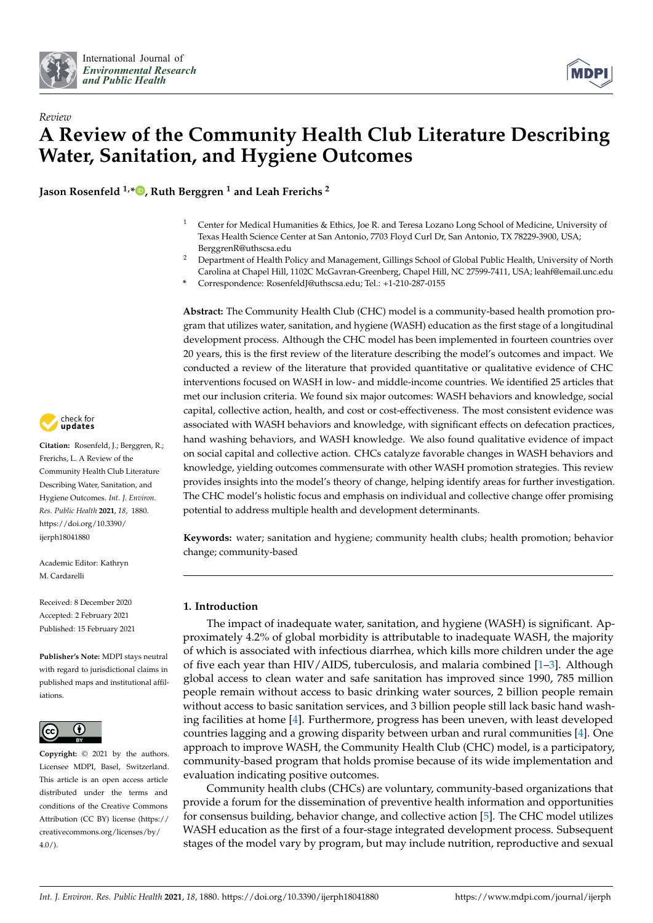



# *Review* **A Review of the Community Health Club Literature Describing Water, Sanitation, and Hygiene Outcomes**

**Jason Rosenfeld 1,[\\*](https://orcid.org/0000-0002-4353-2643) , Ruth Berggren <sup>1</sup> and Leah Frerichs <sup>2</sup>**

- <sup>1</sup> Center for Medical Humanities & Ethics, Joe R. and Teresa Lozano Long School of Medicine, University of Texas Health Science Center at San Antonio, 7703 Floyd Curl Dr, San Antonio, TX 78229-3900, USA; BerggrenR@uthscsa.edu
- <sup>2</sup> Department of Health Policy and Management, Gillings School of Global Public Health, University of North Carolina at Chapel Hill, 1102C McGavran-Greenberg, Chapel Hill, NC 27599-7411, USA; leahf@email.unc.edu
- **\*** Correspondence: RosenfeldJ@uthscsa.edu; Tel.: +1-210-287-0155

**Abstract:** The Community Health Club (CHC) model is a community-based health promotion program that utilizes water, sanitation, and hygiene (WASH) education as the first stage of a longitudinal development process. Although the CHC model has been implemented in fourteen countries over 20 years, this is the first review of the literature describing the model's outcomes and impact. We conducted a review of the literature that provided quantitative or qualitative evidence of CHC interventions focused on WASH in low- and middle-income countries. We identified 25 articles that met our inclusion criteria. We found six major outcomes: WASH behaviors and knowledge, social capital, collective action, health, and cost or cost-effectiveness. The most consistent evidence was associated with WASH behaviors and knowledge, with significant effects on defecation practices, hand washing behaviors, and WASH knowledge. We also found qualitative evidence of impact on social capital and collective action. CHCs catalyze favorable changes in WASH behaviors and knowledge, yielding outcomes commensurate with other WASH promotion strategies. This review provides insights into the model's theory of change, helping identify areas for further investigation. The CHC model's holistic focus and emphasis on individual and collective change offer promising potential to address multiple health and development determinants.

**Keywords:** water; sanitation and hygiene; community health clubs; health promotion; behavior change; community-based

# **1. Introduction**

The impact of inadequate water, sanitation, and hygiene (WASH) is significant. Approximately 4.2% of global morbidity is attributable to inadequate WASH, the majority of which is associated with infectious diarrhea, which kills more children under the age of five each year than HIV/AIDS, tuberculosis, and malaria combined [\[1–](#page-31-0)[3\]](#page-31-1). Although global access to clean water and safe sanitation has improved since 1990, 785 million people remain without access to basic drinking water sources, 2 billion people remain without access to basic sanitation services, and 3 billion people still lack basic hand washing facilities at home [\[4\]](#page-31-2). Furthermore, progress has been uneven, with least developed countries lagging and a growing disparity between urban and rural communities [\[4\]](#page-31-2). One approach to improve WASH, the Community Health Club (CHC) model, is a participatory, community-based program that holds promise because of its wide implementation and evaluation indicating positive outcomes.

Community health clubs (CHCs) are voluntary, community-based organizations that provide a forum for the dissemination of preventive health information and opportunities for consensus building, behavior change, and collective action [\[5\]](#page-31-3). The CHC model utilizes WASH education as the first of a four-stage integrated development process. Subsequent stages of the model vary by program, but may include nutrition, reproductive and sexual



**Citation:** Rosenfeld, J.; Berggren, R.; Frerichs, L. A Review of the Community Health Club Literature Describing Water, Sanitation, and Hygiene Outcomes. *Int. J. Environ. Res. Public Health* **2021**, *18*, 1880. [https://doi.org/10.3390/](https://doi.org/10.3390/ijerph18041880) [ijerph18041880](https://doi.org/10.3390/ijerph18041880)

Academic Editor: Kathryn M. Cardarelli

Received: 8 December 2020 Accepted: 2 February 2021 Published: 15 February 2021

**Publisher's Note:** MDPI stays neutral with regard to jurisdictional claims in published maps and institutional affiliations.



**Copyright:** © 2021 by the authors. Licensee MDPI, Basel, Switzerland. This article is an open access article distributed under the terms and conditions of the Creative Commons Attribution (CC BY) license (https:/[/](https://creativecommons.org/licenses/by/4.0/) [creativecommons.org/licenses/by/](https://creativecommons.org/licenses/by/4.0/)  $4.0/$ ).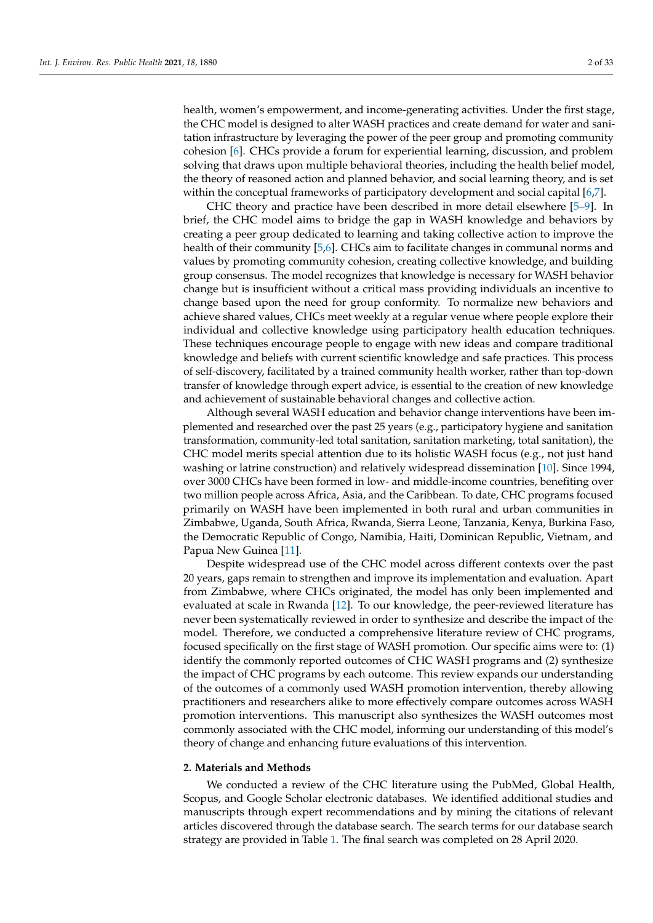health, women's empowerment, and income-generating activities. Under the first stage, the CHC model is designed to alter WASH practices and create demand for water and sanitation infrastructure by leveraging the power of the peer group and promoting community cohesion [\[6\]](#page-31-4). CHCs provide a forum for experiential learning, discussion, and problem solving that draws upon multiple behavioral theories, including the health belief model, the theory of reasoned action and planned behavior, and social learning theory, and is set within the conceptual frameworks of participatory development and social capital [\[6,](#page-31-4)[7\]](#page-31-5).

CHC theory and practice have been described in more detail elsewhere [\[5](#page-31-3)[–9\]](#page-31-6). In brief, the CHC model aims to bridge the gap in WASH knowledge and behaviors by creating a peer group dedicated to learning and taking collective action to improve the health of their community [\[5](#page-31-3)[,6\]](#page-31-4). CHCs aim to facilitate changes in communal norms and values by promoting community cohesion, creating collective knowledge, and building group consensus. The model recognizes that knowledge is necessary for WASH behavior change but is insufficient without a critical mass providing individuals an incentive to change based upon the need for group conformity. To normalize new behaviors and achieve shared values, CHCs meet weekly at a regular venue where people explore their individual and collective knowledge using participatory health education techniques. These techniques encourage people to engage with new ideas and compare traditional knowledge and beliefs with current scientific knowledge and safe practices. This process of self-discovery, facilitated by a trained community health worker, rather than top-down transfer of knowledge through expert advice, is essential to the creation of new knowledge and achievement of sustainable behavioral changes and collective action.

Although several WASH education and behavior change interventions have been implemented and researched over the past 25 years (e.g., participatory hygiene and sanitation transformation, community-led total sanitation, sanitation marketing, total sanitation), the CHC model merits special attention due to its holistic WASH focus (e.g., not just hand washing or latrine construction) and relatively widespread dissemination [\[10\]](#page-31-7). Since 1994, over 3000 CHCs have been formed in low- and middle-income countries, benefiting over two million people across Africa, Asia, and the Caribbean. To date, CHC programs focused primarily on WASH have been implemented in both rural and urban communities in Zimbabwe, Uganda, South Africa, Rwanda, Sierra Leone, Tanzania, Kenya, Burkina Faso, the Democratic Republic of Congo, Namibia, Haiti, Dominican Republic, Vietnam, and Papua New Guinea [\[11\]](#page-31-8).

Despite widespread use of the CHC model across different contexts over the past 20 years, gaps remain to strengthen and improve its implementation and evaluation. Apart from Zimbabwe, where CHCs originated, the model has only been implemented and evaluated at scale in Rwanda [\[12\]](#page-31-9). To our knowledge, the peer-reviewed literature has never been systematically reviewed in order to synthesize and describe the impact of the model. Therefore, we conducted a comprehensive literature review of CHC programs, focused specifically on the first stage of WASH promotion. Our specific aims were to: (1) identify the commonly reported outcomes of CHC WASH programs and (2) synthesize the impact of CHC programs by each outcome. This review expands our understanding of the outcomes of a commonly used WASH promotion intervention, thereby allowing practitioners and researchers alike to more effectively compare outcomes across WASH promotion interventions. This manuscript also synthesizes the WASH outcomes most commonly associated with the CHC model, informing our understanding of this model's theory of change and enhancing future evaluations of this intervention.

#### **2. Materials and Methods**

We conducted a review of the CHC literature using the PubMed, Global Health, Scopus, and Google Scholar electronic databases. We identified additional studies and manuscripts through expert recommendations and by mining the citations of relevant articles discovered through the database search. The search terms for our database search strategy are provided in Table [1.](#page-2-0) The final search was completed on 28 April 2020.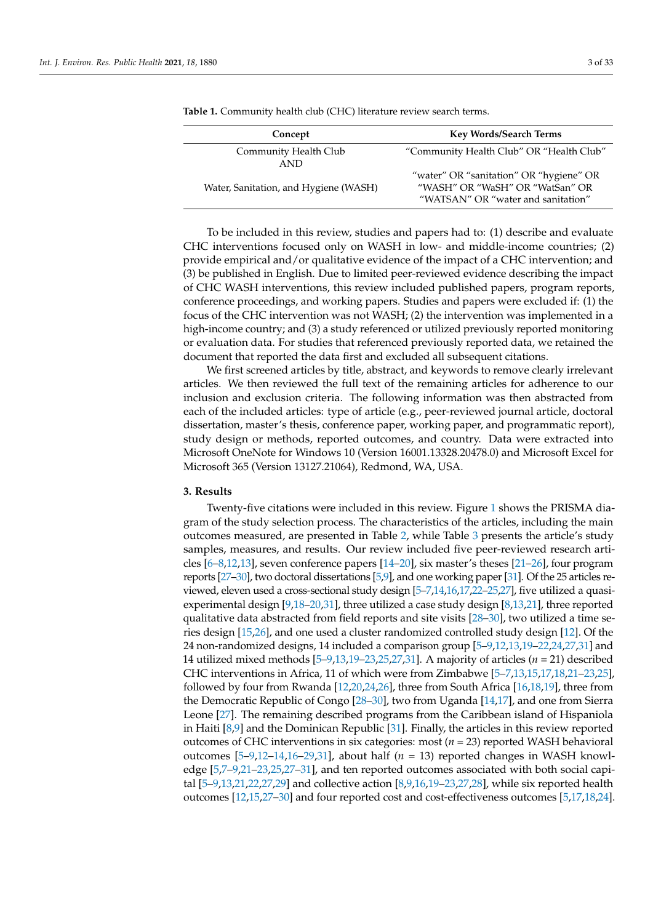| Concept                               | <b>Key Words/Search Terms</b>                                                                                    |
|---------------------------------------|------------------------------------------------------------------------------------------------------------------|
| Community Health Club<br><b>AND</b>   | "Community Health Club" OR "Health Club"                                                                         |
| Water, Sanitation, and Hygiene (WASH) | "water" OR "sanitation" OR "hygiene" OR<br>"WASH" OR "WaSH" OR "WatSan" OR<br>"WATSAN" OR "water and sanitation" |

<span id="page-2-0"></span>**Table 1.** Community health club (CHC) literature review search terms.

To be included in this review, studies and papers had to: (1) describe and evaluate CHC interventions focused only on WASH in low- and middle-income countries; (2) provide empirical and/or qualitative evidence of the impact of a CHC intervention; and (3) be published in English. Due to limited peer-reviewed evidence describing the impact of CHC WASH interventions, this review included published papers, program reports, conference proceedings, and working papers. Studies and papers were excluded if: (1) the focus of the CHC intervention was not WASH; (2) the intervention was implemented in a high-income country; and (3) a study referenced or utilized previously reported monitoring or evaluation data. For studies that referenced previously reported data, we retained the document that reported the data first and excluded all subsequent citations.

We first screened articles by title, abstract, and keywords to remove clearly irrelevant articles. We then reviewed the full text of the remaining articles for adherence to our inclusion and exclusion criteria. The following information was then abstracted from each of the included articles: type of article (e.g., peer-reviewed journal article, doctoral dissertation, master's thesis, conference paper, working paper, and programmatic report), study design or methods, reported outcomes, and country. Data were extracted into Microsoft OneNote for Windows 10 (Version 16001.13328.20478.0) and Microsoft Excel for Microsoft 365 (Version 13127.21064), Redmond, WA, USA.

#### **3. Results**

Twenty-five citations were included in this review. Figure [1](#page-3-0) shows the PRISMA diagram of the study selection process. The characteristics of the articles, including the main outcomes measured, are presented in Table [2,](#page-7-0) while Table [3](#page-22-0) presents the article's study samples, measures, and results. Our review included five peer-reviewed research articles [\[6](#page-31-4)[–8,](#page-31-10)[12,](#page-31-9)[13\]](#page-31-11), seven conference papers [\[14](#page-31-12)[–20\]](#page-31-13), six master's theses [\[21–](#page-32-0)[26\]](#page-32-1), four program reports [\[27–](#page-32-2)[30\]](#page-32-3), two doctoral dissertations [\[5,](#page-31-3)[9\]](#page-31-6), and one working paper [\[31\]](#page-32-4). Of the 25 articles reviewed, eleven used a cross-sectional study design [\[5–](#page-31-3)[7](#page-31-5)[,14](#page-31-12)[,16,](#page-31-14)[17](#page-31-15)[,22–](#page-32-5)[25](#page-32-6)[,27\]](#page-32-2), five utilized a quasiexperimental design [\[9](#page-31-6)[,18–](#page-31-16)[20,](#page-31-13)[31\]](#page-32-4), three utilized a case study design [\[8](#page-31-10)[,13,](#page-31-11)[21\]](#page-32-0), three reported qualitative data abstracted from field reports and site visits [\[28–](#page-32-7)[30\]](#page-32-3), two utilized a time series design [\[15](#page-31-17)[,26\]](#page-32-1), and one used a cluster randomized controlled study design [\[12\]](#page-31-9). Of the 24 non-randomized designs, 14 included a comparison group [\[5](#page-31-3)[–9](#page-31-6)[,12](#page-31-9)[,13,](#page-31-11)[19–](#page-31-18)[22,](#page-32-5)[24](#page-32-8)[,27](#page-32-2)[,31\]](#page-32-4) and 14 utilized mixed methods [\[5](#page-31-3)[–9,](#page-31-6)[13](#page-31-11)[,19–](#page-31-18)[23](#page-32-9)[,25](#page-32-6)[,27,](#page-32-2)[31\]](#page-32-4). A majority of articles (*n* = 21) described CHC interventions in Africa, 11 of which were from Zimbabwe [\[5–](#page-31-3)[7](#page-31-5)[,13,](#page-31-11)[15,](#page-31-17)[17](#page-31-15)[,18,](#page-31-16)[21–](#page-32-0)[23](#page-32-9)[,25\]](#page-32-6), followed by four from Rwanda [\[12](#page-31-9)[,20,](#page-31-13)[24](#page-32-8)[,26\]](#page-32-1), three from South Africa [\[16,](#page-31-14)[18](#page-31-16)[,19\]](#page-31-18), three from the Democratic Republic of Congo [\[28](#page-32-7)[–30\]](#page-32-3), two from Uganda [\[14](#page-31-12)[,17\]](#page-31-15), and one from Sierra Leone [\[27\]](#page-32-2). The remaining described programs from the Caribbean island of Hispaniola in Haiti  $[8,9]$  $[8,9]$  and the Dominican Republic  $[31]$ . Finally, the articles in this review reported outcomes of CHC interventions in six categories: most  $(n = 23)$  reported WASH behavioral outcomes  $[5-9,12-14,16-29,31]$  $[5-9,12-14,16-29,31]$  $[5-9,12-14,16-29,31]$  $[5-9,12-14,16-29,31]$  $[5-9,12-14,16-29,31]$  $[5-9,12-14,16-29,31]$ , about half ( $n = 13$ ) reported changes in WASH knowledge [\[5,](#page-31-3)[7](#page-31-5)[–9,](#page-31-6)[21–](#page-32-0)[23](#page-32-9)[,25,](#page-32-6)[27](#page-32-2)[–31\]](#page-32-4), and ten reported outcomes associated with both social capital  $[5-9,13,21,22,27,29]$  $[5-9,13,21,22,27,29]$  $[5-9,13,21,22,27,29]$  $[5-9,13,21,22,27,29]$  $[5-9,13,21,22,27,29]$  $[5-9,13,21,22,27,29]$  $[5-9,13,21,22,27,29]$  and collective action  $[8,9,16,19-23,27,28]$  $[8,9,16,19-23,27,28]$  $[8,9,16,19-23,27,28]$  $[8,9,16,19-23,27,28]$  $[8,9,16,19-23,27,28]$  $[8,9,16,19-23,27,28]$  $[8,9,16,19-23,27,28]$ , while six reported health outcomes [\[12,](#page-31-9)[15](#page-31-17)[,27](#page-32-2)[–30\]](#page-32-3) and four reported cost and cost-effectiveness outcomes [\[5](#page-31-3)[,17,](#page-31-15)[18](#page-31-16)[,24\]](#page-32-8).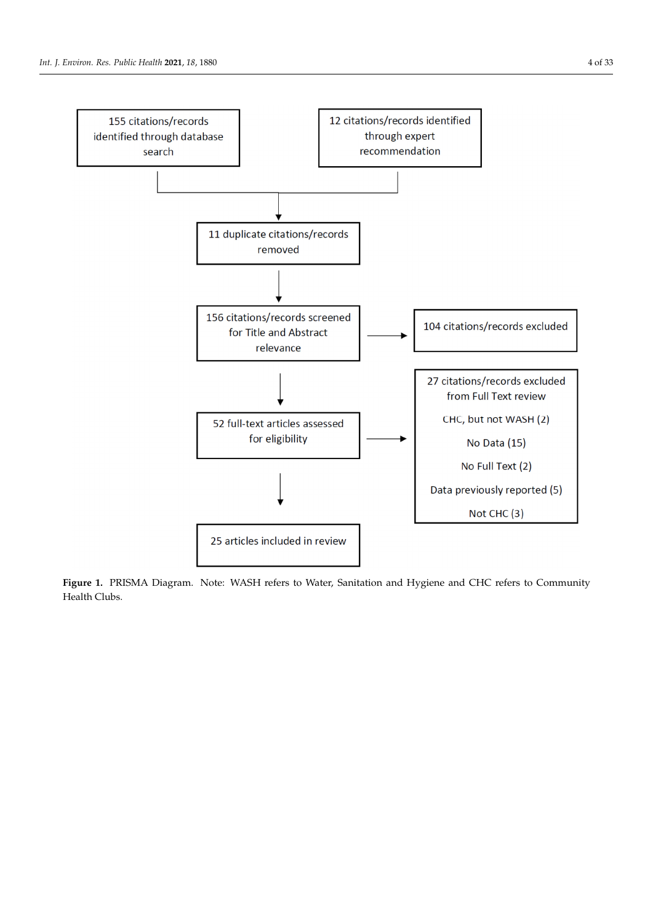<span id="page-3-0"></span>

cost-effectiveness outcomes [5,17,18,18,18].

**Figure 1.** Principal diagram. Note: WASH references to Water, Sanitation and CHC references to Community Health Clubs Figure 1. PRISMA Diagram. Note: WASH refers to Water, Sanitation and Hygiene and CHC refers to Community Health Clubs.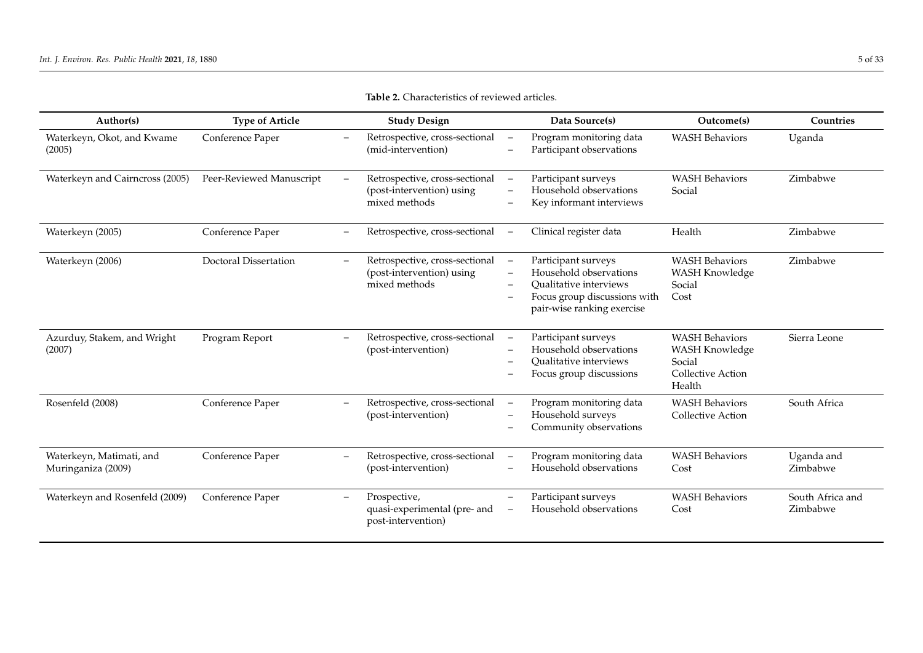| Author(s)                                      | <b>Type of Article</b>   |                          | <b>Study Design</b>                                                          |                                                           | Data Source(s)                                                                                                                        | Outcome(s)                                                                              | Countries                    |
|------------------------------------------------|--------------------------|--------------------------|------------------------------------------------------------------------------|-----------------------------------------------------------|---------------------------------------------------------------------------------------------------------------------------------------|-----------------------------------------------------------------------------------------|------------------------------|
| Waterkeyn, Okot, and Kwame<br>(2005)           | Conference Paper         | $\overline{\phantom{0}}$ | Retrospective, cross-sectional<br>(mid-intervention)                         |                                                           | Program monitoring data<br>Participant observations                                                                                   | <b>WASH Behaviors</b>                                                                   | Uganda                       |
| Waterkeyn and Cairncross (2005)                | Peer-Reviewed Manuscript |                          | Retrospective, cross-sectional<br>(post-intervention) using<br>mixed methods |                                                           | Participant surveys<br>Household observations<br>Key informant interviews                                                             | <b>WASH Behaviors</b><br>Social                                                         | Zimbabwe                     |
| Waterkeyn (2005)                               | Conference Paper         | $\qquad \qquad -$        | Retrospective, cross-sectional                                               |                                                           | Clinical register data                                                                                                                | Health                                                                                  | Zimbabwe                     |
| Waterkeyn (2006)                               | Doctoral Dissertation    |                          | Retrospective, cross-sectional<br>(post-intervention) using<br>mixed methods | $\overline{\phantom{m}}$                                  | Participant surveys<br>Household observations<br>Qualitative interviews<br>Focus group discussions with<br>pair-wise ranking exercise | <b>WASH Behaviors</b><br><b>WASH Knowledge</b><br>Social<br>Cost                        | Zimbabwe                     |
| Azurduy, Stakem, and Wright<br>(2007)          | Program Report           |                          | Retrospective, cross-sectional<br>(post-intervention)                        | $\overline{\phantom{a}}$<br>$\overline{\phantom{m}}$<br>۳ | Participant surveys<br>Household observations<br>Qualitative interviews<br>Focus group discussions                                    | <b>WASH Behaviors</b><br><b>WASH Knowledge</b><br>Social<br>Collective Action<br>Health | Sierra Leone                 |
| Rosenfeld (2008)                               | Conference Paper         |                          | Retrospective, cross-sectional<br>(post-intervention)                        |                                                           | Program monitoring data<br>Household surveys<br>Community observations                                                                | <b>WASH Behaviors</b><br>Collective Action                                              | South Africa                 |
| Waterkeyn, Matimati, and<br>Muringaniza (2009) | Conference Paper         | $\qquad \qquad -$        | Retrospective, cross-sectional<br>(post-intervention)                        |                                                           | Program monitoring data<br>Household observations                                                                                     | <b>WASH Behaviors</b><br>Cost                                                           | Uganda and<br>Zimbabwe       |
| Waterkeyn and Rosenfeld (2009)                 | Conference Paper         | $\qquad \qquad -$        | Prospective,<br>quasi-experimental (pre- and<br>post-intervention)           | $\overline{\phantom{m}}$                                  | Participant surveys<br>Household observations                                                                                         | <b>WASH Behaviors</b><br>Cost                                                           | South Africa and<br>Zimbabwe |

**Table 2.** Characteristics of reviewed articles.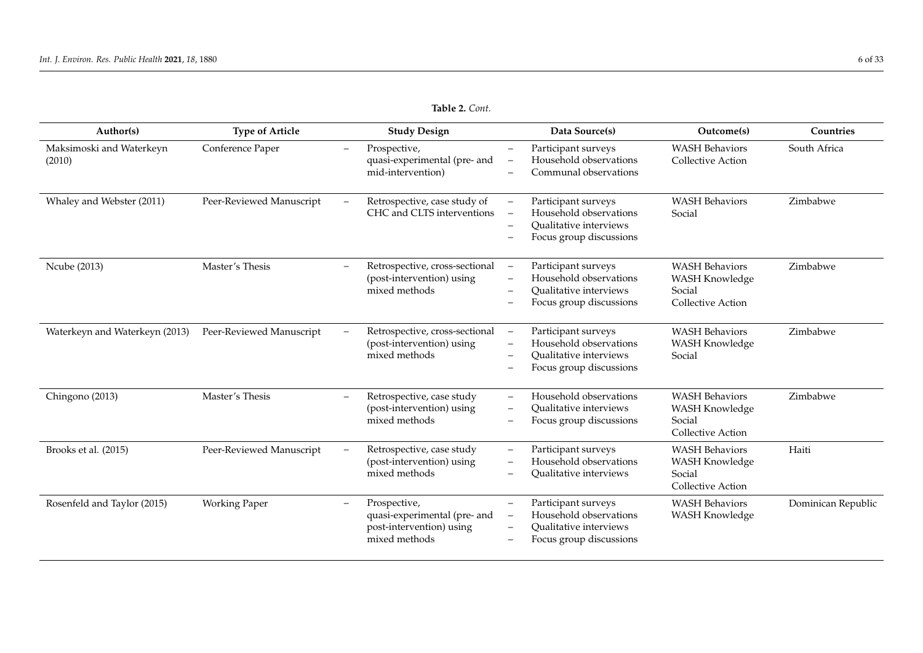| Author(s)                          | <b>Type of Article</b>   | <b>Study Design</b>                                                                                            | Data Source(s)                                                                                                                                                                                                     | Outcome(s)                                                                    | Countries          |
|------------------------------------|--------------------------|----------------------------------------------------------------------------------------------------------------|--------------------------------------------------------------------------------------------------------------------------------------------------------------------------------------------------------------------|-------------------------------------------------------------------------------|--------------------|
| Maksimoski and Waterkeyn<br>(2010) | Conference Paper         | Prospective,<br>$\qquad \qquad -$<br>quasi-experimental (pre- and<br>mid-intervention)                         | Participant surveys<br>Household observations<br>Communal observations                                                                                                                                             | <b>WASH Behaviors</b><br><b>Collective Action</b>                             | South Africa       |
| Whaley and Webster (2011)          | Peer-Reviewed Manuscript | Retrospective, case study of<br>CHC and CLTS interventions                                                     | Participant surveys<br>$\overline{\phantom{0}}$<br>Household observations<br>$\overline{\phantom{a}}$<br>Qualitative interviews<br>$\overline{\phantom{a}}$<br>Focus group discussions<br>$\overline{\phantom{a}}$ | <b>WASH Behaviors</b><br>Social                                               | Zimbabwe           |
| Ncube (2013)                       | Master's Thesis          | Retrospective, cross-sectional<br>(post-intervention) using<br>mixed methods                                   | Participant surveys<br>$\overline{\phantom{0}}$<br>Household observations<br><b>Oualitative interviews</b><br>$\overline{\phantom{a}}$<br>Focus group discussions<br>$\overline{\phantom{a}}$                      | <b>WASH Behaviors</b><br>WASH Knowledge<br>Social<br>Collective Action        | Zimbabwe           |
| Waterkeyn and Waterkeyn (2013)     | Peer-Reviewed Manuscript | Retrospective, cross-sectional<br>(post-intervention) using<br>mixed methods                                   | Participant surveys<br>$\overline{\phantom{a}}$<br>Household observations<br>Qualitative interviews<br>$\overline{\phantom{a}}$<br>Focus group discussions<br>$\overline{\phantom{a}}$                             | <b>WASH Behaviors</b><br>WASH Knowledge<br>Social                             | Zimbabwe           |
| Chingono (2013)                    | Master's Thesis          | Retrospective, case study<br>$\qquad \qquad -$<br>(post-intervention) using<br>mixed methods                   | Household observations<br>$\overline{\phantom{a}}$<br>Qualitative interviews<br>$\qquad \qquad -$<br>Focus group discussions<br>$\overline{\phantom{a}}$                                                           | <b>WASH Behaviors</b><br>WASH Knowledge<br>Social<br><b>Collective Action</b> | Zimbabwe           |
| Brooks et al. (2015)               | Peer-Reviewed Manuscript | Retrospective, case study<br>(post-intervention) using<br>mixed methods                                        | Participant surveys<br>$\overline{\phantom{m}}$<br>Household observations<br>$\overline{\phantom{a}}$<br>Qualitative interviews                                                                                    | <b>WASH Behaviors</b><br>WASH Knowledge<br>Social<br>Collective Action        | Haiti              |
| Rosenfeld and Taylor (2015)        | <b>Working Paper</b>     | Prospective,<br>$\qquad \qquad -$<br>quasi-experimental (pre- and<br>post-intervention) using<br>mixed methods | Participant surveys<br>$\overline{\phantom{a}}$<br>Household observations<br>$\overline{\phantom{m}}$<br>Qualitative interviews<br>$\overline{\phantom{a}}$<br>Focus group discussions                             | <b>WASH Behaviors</b><br>WASH Knowledge                                       | Dominican Republic |

**Table 2.** *Cont.*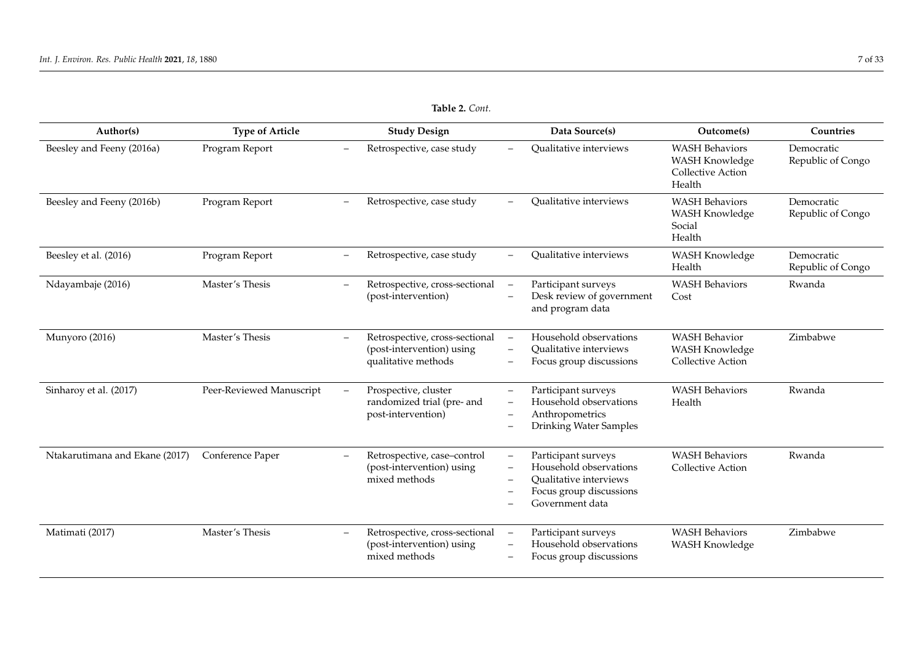| Author(s)                      | <b>Type of Article</b>   |                          | <b>Study Design</b>                                                                |                          | Data Source(s)                                                                                                        | Outcome(s)                                                                    | Countries                       |
|--------------------------------|--------------------------|--------------------------|------------------------------------------------------------------------------------|--------------------------|-----------------------------------------------------------------------------------------------------------------------|-------------------------------------------------------------------------------|---------------------------------|
| Beesley and Feeny (2016a)      | Program Report           |                          | Retrospective, case study                                                          |                          | <b>Oualitative interviews</b>                                                                                         | <b>WASH Behaviors</b><br>WASH Knowledge<br><b>Collective Action</b><br>Health | Democratic<br>Republic of Congo |
| Beesley and Feeny (2016b)      | Program Report           | $\overline{\phantom{0}}$ | Retrospective, case study                                                          |                          | Qualitative interviews                                                                                                | <b>WASH Behaviors</b><br><b>WASH Knowledge</b><br>Social<br>Health            | Democratic<br>Republic of Congo |
| Beesley et al. (2016)          | Program Report           | $\overline{\phantom{0}}$ | Retrospective, case study                                                          |                          | Qualitative interviews                                                                                                | WASH Knowledge<br>Health                                                      | Democratic<br>Republic of Congo |
| Ndayambaje (2016)              | Master's Thesis          | $\qquad \qquad -$        | Retrospective, cross-sectional<br>(post-intervention)                              | $\qquad \qquad -$        | Participant surveys<br>Desk review of government<br>and program data                                                  | <b>WASH Behaviors</b><br>Cost                                                 | Rwanda                          |
| Munyoro (2016)                 | Master's Thesis          | $\qquad \qquad -$        | Retrospective, cross-sectional<br>(post-intervention) using<br>qualitative methods | $\overline{\phantom{0}}$ | Household observations<br>Qualitative interviews<br>Focus group discussions                                           | <b>WASH Behavior</b><br><b>WASH Knowledge</b><br>Collective Action            | Zimbabwe                        |
| Sinharoy et al. (2017)         | Peer-Reviewed Manuscript |                          | Prospective, cluster<br>randomized trial (pre- and<br>post-intervention)           |                          | Participant surveys<br>Household observations<br>Anthropometrics<br>Drinking Water Samples                            | <b>WASH Behaviors</b><br>Health                                               | Rwanda                          |
| Ntakarutimana and Ekane (2017) | Conference Paper         |                          | Retrospective, case-control<br>(post-intervention) using<br>mixed methods          |                          | Participant surveys<br>Household observations<br>Qualitative interviews<br>Focus group discussions<br>Government data | <b>WASH Behaviors</b><br><b>Collective Action</b>                             | Rwanda                          |
| Matimati (2017)                | Master's Thesis          | $\qquad \qquad -$        | Retrospective, cross-sectional<br>(post-intervention) using<br>mixed methods       |                          | Participant surveys<br>Household observations<br>Focus group discussions                                              | <b>WASH Behaviors</b><br><b>WASH Knowledge</b>                                | Zimbabwe                        |

**Table 2.** *Cont.*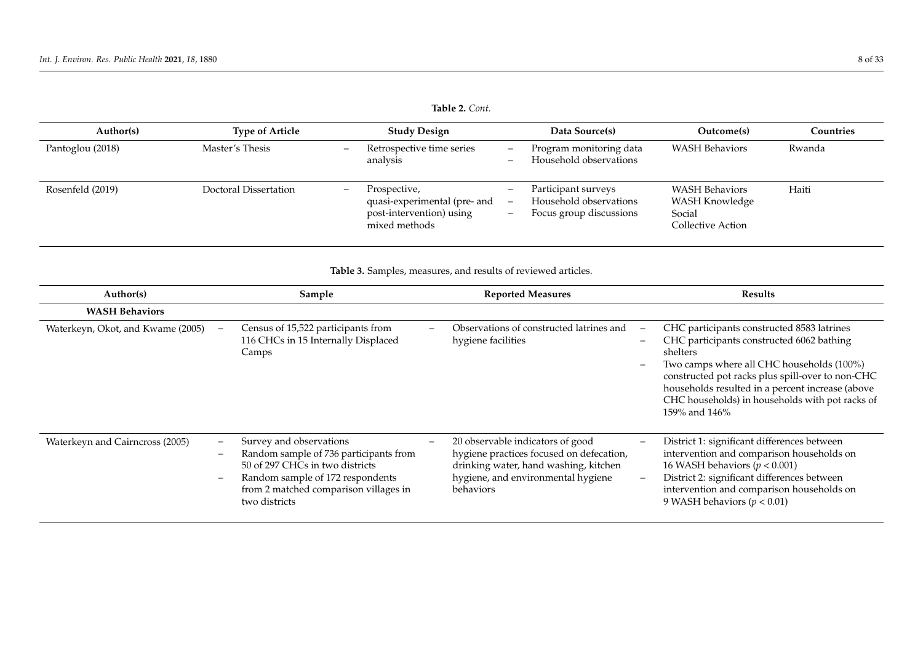| Author(s)        | <b>Type of Article</b> | <b>Study Design</b>                                                                                            | Data Source(s)                                                                                                                   | Outcome(s)                                                             | Countries |
|------------------|------------------------|----------------------------------------------------------------------------------------------------------------|----------------------------------------------------------------------------------------------------------------------------------|------------------------------------------------------------------------|-----------|
| Pantoglou (2018) | Master's Thesis        | Retrospective time series<br>$\overline{\phantom{0}}$<br>analysis                                              | Program monitoring data<br>$\qquad \qquad -$<br>Household observations                                                           | <b>WASH Behaviors</b>                                                  | Rwanda    |
| Rosenfeld (2019) | Doctoral Dissertation  | Prospective,<br>$\qquad \qquad -$<br>quasi-experimental (pre- and<br>post-intervention) using<br>mixed methods | Participant surveys<br>Household observations<br>$\overline{\phantom{a}}$<br>Focus group discussions<br>$\overline{\phantom{m}}$ | <b>WASH Behaviors</b><br>WASH Knowledge<br>Social<br>Collective Action | Haiti     |

**Table 2.** *Cont.*

# **Table 3.** Samples, measures, and results of reviewed articles.

<span id="page-7-0"></span>

| Author(s)                         | Sample                                                                                                                                                                                                                         | <b>Reported Measures</b>                                                                                                                                                                             | <b>Results</b>                                                                                                                                                                                                                                                                                                                                                                              |
|-----------------------------------|--------------------------------------------------------------------------------------------------------------------------------------------------------------------------------------------------------------------------------|------------------------------------------------------------------------------------------------------------------------------------------------------------------------------------------------------|---------------------------------------------------------------------------------------------------------------------------------------------------------------------------------------------------------------------------------------------------------------------------------------------------------------------------------------------------------------------------------------------|
| <b>WASH Behaviors</b>             |                                                                                                                                                                                                                                |                                                                                                                                                                                                      |                                                                                                                                                                                                                                                                                                                                                                                             |
| Waterkeyn, Okot, and Kwame (2005) | Census of 15,522 participants from<br>116 CHCs in 15 Internally Displaced<br>Camps                                                                                                                                             | Observations of constructed latrines and<br>hygiene facilities                                                                                                                                       | CHC participants constructed 8583 latrines<br>$\overline{\phantom{m}}$<br>CHC participants constructed 6062 bathing<br>$-$<br>shelters<br>Two camps where all CHC households (100%)<br>$\overline{\phantom{0}}$<br>constructed pot racks plus spill-over to non-CHC<br>households resulted in a percent increase (above<br>CHC households) in households with pot racks of<br>159% and 146% |
| Waterkeyn and Cairncross (2005)   | Survey and observations<br>$\overline{\phantom{0}}$<br>Random sample of 736 participants from<br>50 of 297 CHCs in two districts<br>Random sample of 172 respondents<br>from 2 matched comparison villages in<br>two districts | 20 observable indicators of good<br>$\overline{\phantom{m}}$<br>hygiene practices focused on defecation,<br>drinking water, hand washing, kitchen<br>hygiene, and environmental hygiene<br>behaviors | District 1: significant differences between<br>$\overline{\phantom{m}}$<br>intervention and comparison households on<br>16 WASH behaviors ( $p < 0.001$ )<br>District 2: significant differences between<br>$\overline{\phantom{m}}$<br>intervention and comparison households on<br>9 WASH behaviors ( $p < 0.01$ )                                                                        |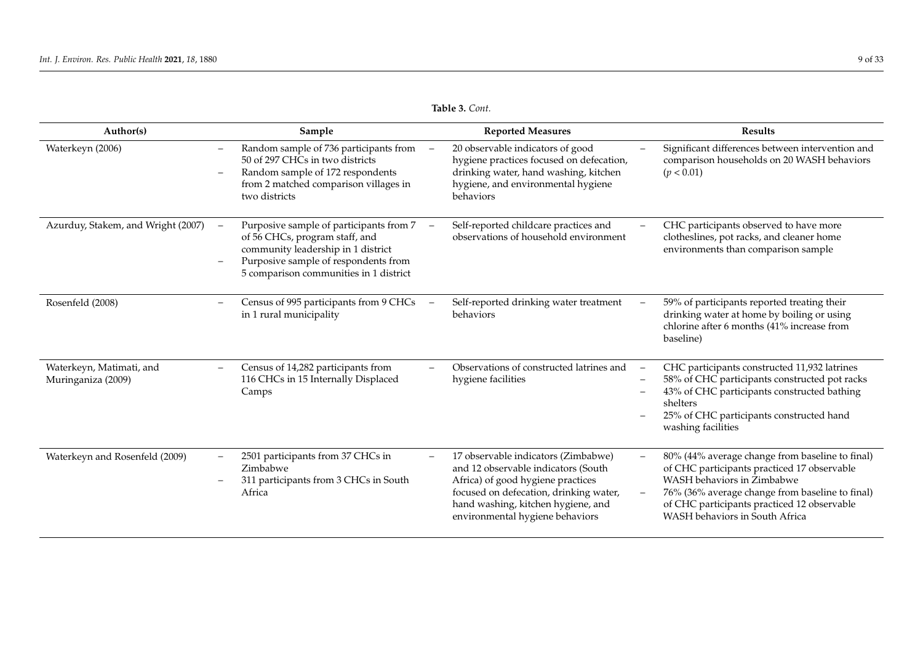| Author(s)                                      | Sample                                                                                                                                                                                                                        | <b>Reported Measures</b>                                                                                                                                                                                                           | <b>Results</b>                                                                                                                                                                                                                                                                        |
|------------------------------------------------|-------------------------------------------------------------------------------------------------------------------------------------------------------------------------------------------------------------------------------|------------------------------------------------------------------------------------------------------------------------------------------------------------------------------------------------------------------------------------|---------------------------------------------------------------------------------------------------------------------------------------------------------------------------------------------------------------------------------------------------------------------------------------|
| Waterkeyn (2006)                               | Random sample of 736 participants from<br>50 of 297 CHCs in two districts<br>Random sample of 172 respondents<br>from 2 matched comparison villages in<br>two districts                                                       | 20 observable indicators of good<br>hygiene practices focused on defecation,<br>drinking water, hand washing, kitchen<br>hygiene, and environmental hygiene<br>behaviors                                                           | Significant differences between intervention and<br>$\overline{\phantom{m}}$<br>comparison households on 20 WASH behaviors<br>(p < 0.01)                                                                                                                                              |
| Azurduy, Stakem, and Wright (2007)             | Purposive sample of participants from 7<br>$\overline{\phantom{0}}$<br>of 56 CHCs, program staff, and<br>community leadership in 1 district<br>Purposive sample of respondents from<br>5 comparison communities in 1 district | Self-reported childcare practices and<br>observations of household environment                                                                                                                                                     | CHC participants observed to have more<br>clotheslines, pot racks, and cleaner home<br>environments than comparison sample                                                                                                                                                            |
| Rosenfeld (2008)                               | Census of 995 participants from 9 CHCs<br>in 1 rural municipality                                                                                                                                                             | Self-reported drinking water treatment<br>behaviors                                                                                                                                                                                | 59% of participants reported treating their<br>$\qquad \qquad -$<br>drinking water at home by boiling or using<br>chlorine after 6 months (41% increase from<br>baseline)                                                                                                             |
| Waterkeyn, Matimati, and<br>Muringaniza (2009) | Census of 14,282 participants from<br>116 CHCs in 15 Internally Displaced<br>Camps                                                                                                                                            | Observations of constructed latrines and<br>hygiene facilities                                                                                                                                                                     | CHC participants constructed 11,932 latrines<br>58% of CHC participants constructed pot racks<br>43% of CHC participants constructed bathing<br>shelters<br>25% of CHC participants constructed hand<br>washing facilities                                                            |
| Waterkeyn and Rosenfeld (2009)                 | 2501 participants from 37 CHCs in<br>Zimbabwe<br>311 participants from 3 CHCs in South<br>Africa                                                                                                                              | 17 observable indicators (Zimbabwe)<br>and 12 observable indicators (South<br>Africa) of good hygiene practices<br>focused on defecation, drinking water,<br>hand washing, kitchen hygiene, and<br>environmental hygiene behaviors | 80% (44% average change from baseline to final)<br>$\qquad \qquad -$<br>of CHC participants practiced 17 observable<br>WASH behaviors in Zimbabwe<br>76% (36% average change from baseline to final)<br>of CHC participants practiced 12 observable<br>WASH behaviors in South Africa |

**Table 3.** *Cont.*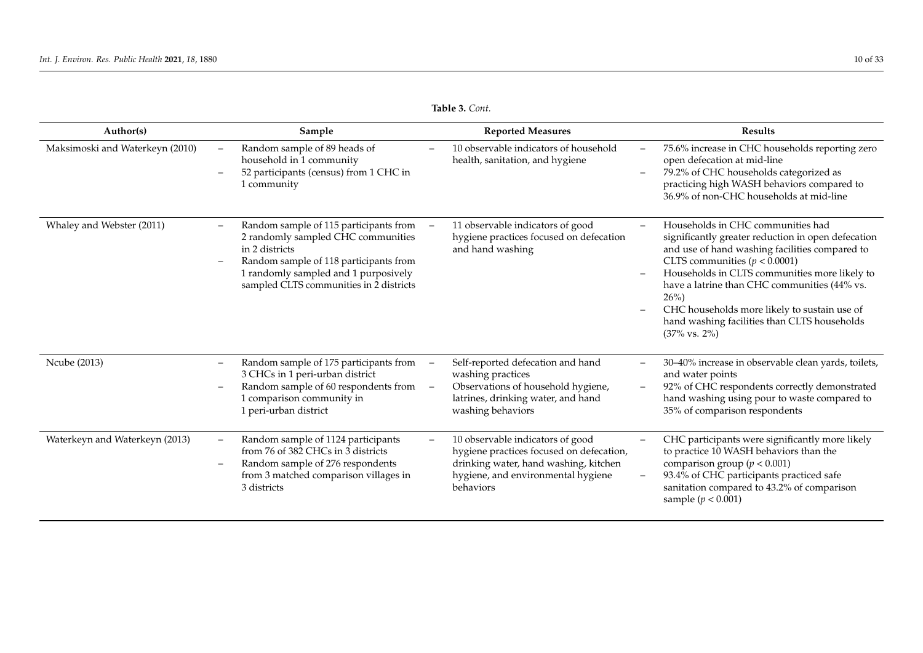| Author(s)                       | Sample                                                                                                                                                                                                                                           | <b>Reported Measures</b>                                                                                                                                                 | <b>Results</b>                                                                                                                                                                                                                                                                                                                                                                                                                                                                 |
|---------------------------------|--------------------------------------------------------------------------------------------------------------------------------------------------------------------------------------------------------------------------------------------------|--------------------------------------------------------------------------------------------------------------------------------------------------------------------------|--------------------------------------------------------------------------------------------------------------------------------------------------------------------------------------------------------------------------------------------------------------------------------------------------------------------------------------------------------------------------------------------------------------------------------------------------------------------------------|
| Maksimoski and Waterkeyn (2010) | Random sample of 89 heads of<br>household in 1 community<br>52 participants (census) from 1 CHC in<br>1 community                                                                                                                                | 10 observable indicators of household<br>health, sanitation, and hygiene                                                                                                 | 75.6% increase in CHC households reporting zero<br>open defecation at mid-line<br>79.2% of CHC households categorized as<br>$\overline{\phantom{m}}$<br>practicing high WASH behaviors compared to<br>36.9% of non-CHC households at mid-line                                                                                                                                                                                                                                  |
| Whaley and Webster (2011)       | Random sample of 115 participants from<br>$\qquad \qquad -$<br>2 randomly sampled CHC communities<br>in 2 districts<br>Random sample of 118 participants from<br>1 randomly sampled and 1 purposively<br>sampled CLTS communities in 2 districts | 11 observable indicators of good<br>hygiene practices focused on defecation<br>and hand washing                                                                          | Households in CHC communities had<br>$\overline{\phantom{m}}$<br>significantly greater reduction in open defecation<br>and use of hand washing facilities compared to<br>CLTS communities ( $p < 0.0001$ )<br>Households in CLTS communities more likely to<br>$\overline{\phantom{m}}$<br>have a latrine than CHC communities (44% vs.<br>$26\%$<br>CHC households more likely to sustain use of<br>hand washing facilities than CLTS households<br>$(37\% \text{ vs. } 2\%)$ |
| Ncube (2013)                    | Random sample of 175 participants from<br>3 CHCs in 1 peri-urban district<br>Random sample of 60 respondents from<br>1 comparison community in<br>1 peri-urban district                                                                          | Self-reported defecation and hand<br>washing practices<br>Observations of household hygiene,<br>latrines, drinking water, and hand<br>washing behaviors                  | 30-40% increase in observable clean yards, toilets,<br>$\overline{\phantom{m}}$<br>and water points<br>92% of CHC respondents correctly demonstrated<br>hand washing using pour to waste compared to<br>35% of comparison respondents                                                                                                                                                                                                                                          |
| Waterkeyn and Waterkeyn (2013)  | Random sample of 1124 participants<br>from 76 of 382 CHCs in 3 districts<br>Random sample of 276 respondents<br>from 3 matched comparison villages in<br>3 districts                                                                             | 10 observable indicators of good<br>hygiene practices focused on defecation,<br>drinking water, hand washing, kitchen<br>hygiene, and environmental hygiene<br>behaviors | CHC participants were significantly more likely<br>to practice 10 WASH behaviors than the<br>comparison group ( $p < 0.001$ )<br>93.4% of CHC participants practiced safe<br>sanitation compared to 43.2% of comparison<br>sample ( $p < 0.001$ )                                                                                                                                                                                                                              |

**Table 3.** *Cont.*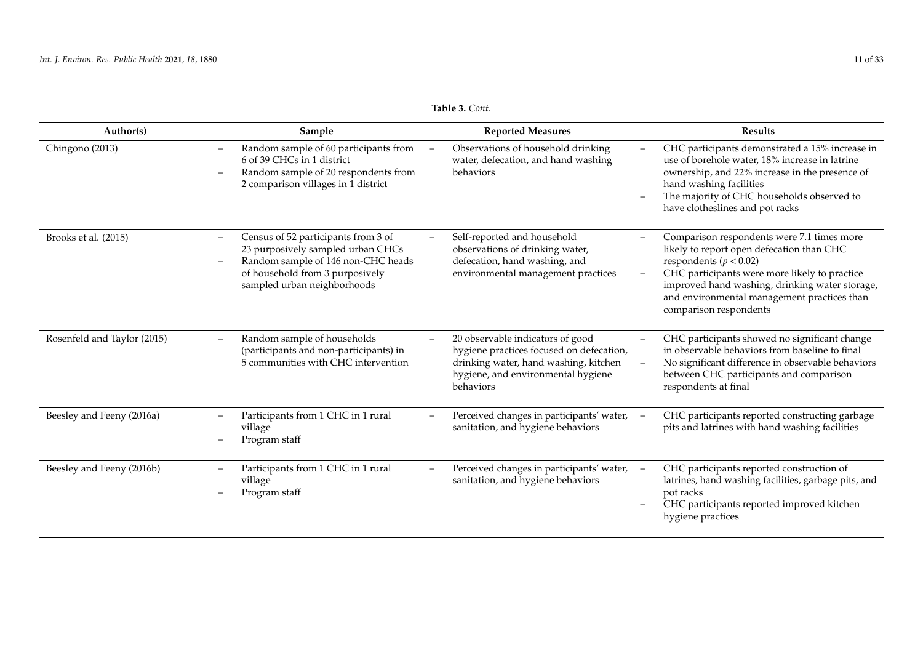| Author(s)                   | Sample                                                                                                                                                                           | <b>Reported Measures</b>                                                                                                                                                 | <b>Results</b>                                                                                                                                                                                                                                                                                    |
|-----------------------------|----------------------------------------------------------------------------------------------------------------------------------------------------------------------------------|--------------------------------------------------------------------------------------------------------------------------------------------------------------------------|---------------------------------------------------------------------------------------------------------------------------------------------------------------------------------------------------------------------------------------------------------------------------------------------------|
| Chingono (2013)             | Random sample of 60 participants from<br>6 of 39 CHCs in 1 district<br>Random sample of 20 respondents from<br>2 comparison villages in 1 district                               | Observations of household drinking<br>water, defecation, and hand washing<br>behaviors                                                                                   | CHC participants demonstrated a 15% increase in<br>use of borehole water, 18% increase in latrine<br>ownership, and 22% increase in the presence of<br>hand washing facilities<br>The majority of CHC households observed to<br>have clotheslines and pot racks                                   |
| Brooks et al. (2015)        | Census of 52 participants from 3 of<br>23 purposively sampled urban CHCs<br>Random sample of 146 non-CHC heads<br>of household from 3 purposively<br>sampled urban neighborhoods | Self-reported and household<br>observations of drinking water,<br>defecation, hand washing, and<br>environmental management practices                                    | Comparison respondents were 7.1 times more<br>likely to report open defecation than CHC<br>respondents ( $p < 0.02$ )<br>CHC participants were more likely to practice<br>improved hand washing, drinking water storage,<br>and environmental management practices than<br>comparison respondents |
| Rosenfeld and Taylor (2015) | Random sample of households<br>$\qquad \qquad -$<br>(participants and non-participants) in<br>5 communities with CHC intervention                                                | 20 observable indicators of good<br>hygiene practices focused on defecation,<br>drinking water, hand washing, kitchen<br>hygiene, and environmental hygiene<br>behaviors | CHC participants showed no significant change<br>in observable behaviors from baseline to final<br>No significant difference in observable behaviors<br>between CHC participants and comparison<br>respondents at final                                                                           |
| Beesley and Feeny (2016a)   | Participants from 1 CHC in 1 rural<br>village<br>Program staff                                                                                                                   | Perceived changes in participants' water,<br>sanitation, and hygiene behaviors                                                                                           | CHC participants reported constructing garbage<br>$\hspace{0.1mm}-\hspace{0.1mm}$<br>pits and latrines with hand washing facilities                                                                                                                                                               |
| Beesley and Feeny (2016b)   | Participants from 1 CHC in 1 rural<br>village<br>Program staff                                                                                                                   | Perceived changes in participants' water,<br>sanitation, and hygiene behaviors                                                                                           | CHC participants reported construction of<br>latrines, hand washing facilities, garbage pits, and<br>pot racks<br>CHC participants reported improved kitchen<br>hygiene practices                                                                                                                 |

**Table 3.** *Cont.*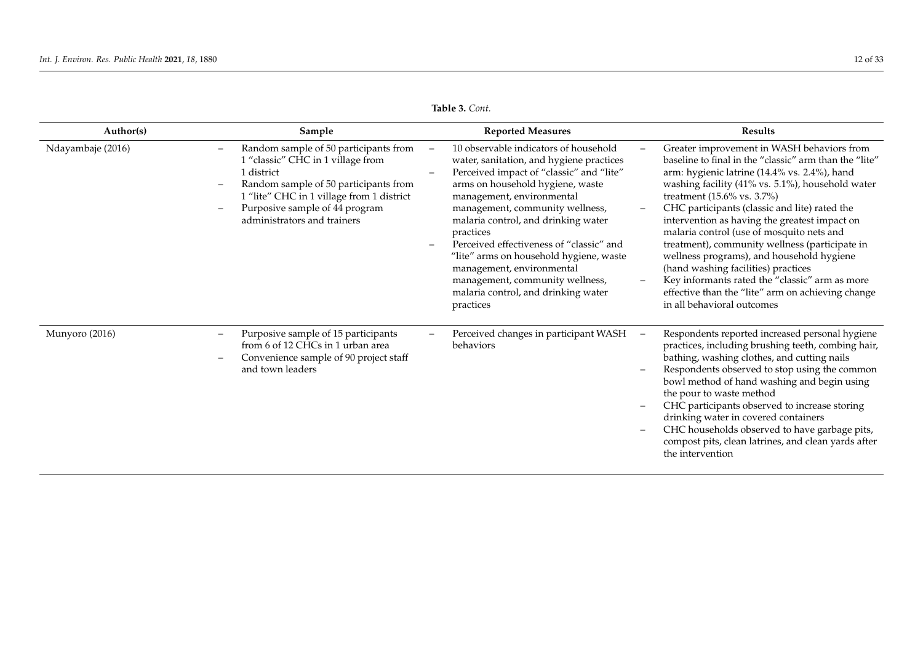| Author(s)         | Sample                                                                                                                                                                                                                                                               | <b>Reported Measures</b>                                                                                                                                                                                                                                                                                                                                                                                                                                                                         | <b>Results</b>                                                                                                                                                                                                                                                                                                                                                                                                                                                                                                                                                                                                                                                                |
|-------------------|----------------------------------------------------------------------------------------------------------------------------------------------------------------------------------------------------------------------------------------------------------------------|--------------------------------------------------------------------------------------------------------------------------------------------------------------------------------------------------------------------------------------------------------------------------------------------------------------------------------------------------------------------------------------------------------------------------------------------------------------------------------------------------|-------------------------------------------------------------------------------------------------------------------------------------------------------------------------------------------------------------------------------------------------------------------------------------------------------------------------------------------------------------------------------------------------------------------------------------------------------------------------------------------------------------------------------------------------------------------------------------------------------------------------------------------------------------------------------|
| Ndayambaje (2016) | Random sample of 50 participants from<br>$\qquad \qquad -$<br>1 "classic" CHC in 1 village from<br>1 district<br>Random sample of 50 participants from<br>1 "lite" CHC in 1 village from 1 district<br>Purposive sample of 44 program<br>administrators and trainers | 10 observable indicators of household<br>water, sanitation, and hygiene practices<br>Perceived impact of "classic" and "lite"<br>arms on household hygiene, waste<br>management, environmental<br>management, community wellness,<br>malaria control, and drinking water<br>practices<br>Perceived effectiveness of "classic" and<br>"lite" arms on household hygiene, waste<br>management, environmental<br>management, community wellness,<br>malaria control, and drinking water<br>practices | Greater improvement in WASH behaviors from<br>baseline to final in the "classic" arm than the "lite"<br>arm: hygienic latrine (14.4% vs. 2.4%), hand<br>washing facility (41% vs. 5.1%), household water<br>treatment $(15.6\% \text{ vs. } 3.7\%)$<br>CHC participants (classic and lite) rated the<br>intervention as having the greatest impact on<br>malaria control (use of mosquito nets and<br>treatment), community wellness (participate in<br>wellness programs), and household hygiene<br>(hand washing facilities) practices<br>Key informants rated the "classic" arm as more<br>effective than the "lite" arm on achieving change<br>in all behavioral outcomes |
| Munyoro (2016)    | Purposive sample of 15 participants<br>from 6 of 12 CHCs in 1 urban area<br>Convenience sample of 90 project staff<br>and town leaders                                                                                                                               | Perceived changes in participant WASH<br>behaviors                                                                                                                                                                                                                                                                                                                                                                                                                                               | Respondents reported increased personal hygiene<br>practices, including brushing teeth, combing hair,<br>bathing, washing clothes, and cutting nails<br>Respondents observed to stop using the common<br>bowl method of hand washing and begin using<br>the pour to waste method<br>CHC participants observed to increase storing<br>drinking water in covered containers<br>CHC households observed to have garbage pits,<br>compost pits, clean latrines, and clean yards after<br>the intervention                                                                                                                                                                         |

**Table 3.** *Cont.*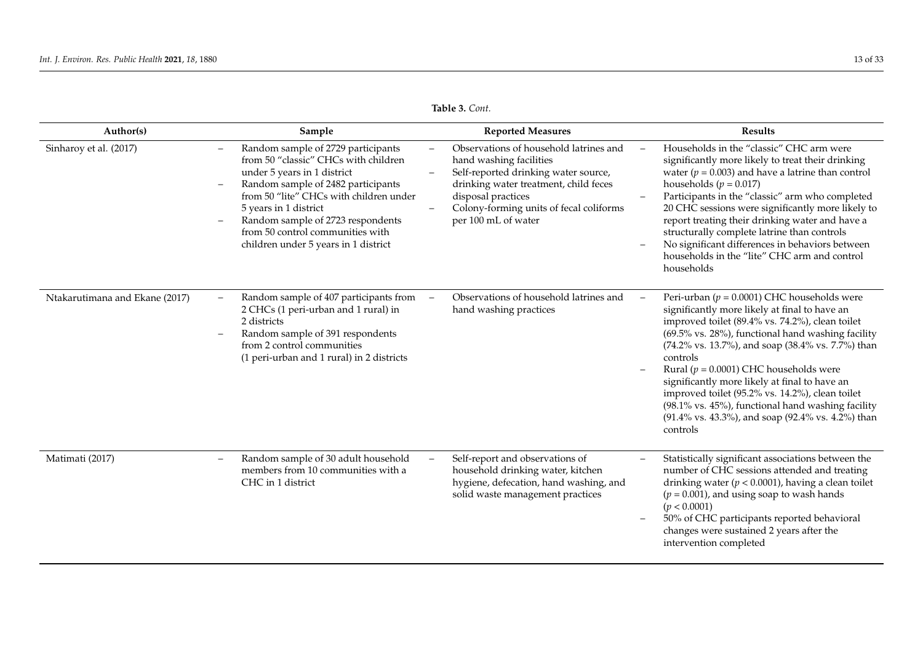| Author(s)                      | Sample                                                                                                                                                                                                                                                                                                                                                           | <b>Reported Measures</b>                                                                                                                                                                                                                                               | <b>Results</b>                                                                                                                                                                                                                                                                                                                                                                                                                                                                                                                                                                |
|--------------------------------|------------------------------------------------------------------------------------------------------------------------------------------------------------------------------------------------------------------------------------------------------------------------------------------------------------------------------------------------------------------|------------------------------------------------------------------------------------------------------------------------------------------------------------------------------------------------------------------------------------------------------------------------|-------------------------------------------------------------------------------------------------------------------------------------------------------------------------------------------------------------------------------------------------------------------------------------------------------------------------------------------------------------------------------------------------------------------------------------------------------------------------------------------------------------------------------------------------------------------------------|
| Sinharoy et al. (2017)         | Random sample of 2729 participants<br>from 50 "classic" CHCs with children<br>under 5 years in 1 district<br>Random sample of 2482 participants<br>$\overline{\phantom{0}}$<br>from 50 "lite" CHCs with children under<br>5 years in 1 district<br>Random sample of 2723 respondents<br>from 50 control communities with<br>children under 5 years in 1 district | Observations of household latrines and<br>hand washing facilities<br>Self-reported drinking water source,<br>$\overline{\phantom{m}}$<br>drinking water treatment, child feces<br>disposal practices<br>Colony-forming units of fecal coliforms<br>per 100 mL of water | Households in the "classic" CHC arm were<br>significantly more likely to treat their drinking<br>water ( $p = 0.003$ ) and have a latrine than control<br>households ( $p = 0.017$ )<br>Participants in the "classic" arm who completed<br>20 CHC sessions were significantly more likely to<br>report treating their drinking water and have a<br>structurally complete latrine than controls<br>No significant differences in behaviors between<br>households in the "lite" CHC arm and control<br>households                                                               |
| Ntakarutimana and Ekane (2017) | Random sample of 407 participants from<br>$\overline{\phantom{m}}$<br>2 CHCs (1 peri-urban and 1 rural) in<br>2 districts<br>Random sample of 391 respondents<br>from 2 control communities<br>(1 peri-urban and 1 rural) in 2 districts                                                                                                                         | Observations of household latrines and<br>$\sim$<br>hand washing practices                                                                                                                                                                                             | Peri-urban ( $p = 0.0001$ ) CHC households were<br>$\overline{\phantom{m}}$<br>significantly more likely at final to have an<br>improved toilet (89.4% vs. 74.2%), clean toilet<br>(69.5% vs. 28%), functional hand washing facility<br>(74.2% vs. 13.7%), and soap (38.4% vs. 7.7%) than<br>controls<br>Rural ( $p = 0.0001$ ) CHC households were<br>significantly more likely at final to have an<br>improved toilet (95.2% vs. 14.2%), clean toilet<br>(98.1% vs. 45%), functional hand washing facility<br>(91.4% vs. 43.3%), and soap (92.4% vs. 4.2%) than<br>controls |
| Matimati (2017)                | Random sample of 30 adult household<br>$\qquad \qquad -$<br>members from 10 communities with a<br>CHC in 1 district                                                                                                                                                                                                                                              | Self-report and observations of<br>household drinking water, kitchen<br>hygiene, defecation, hand washing, and<br>solid waste management practices                                                                                                                     | Statistically significant associations between the<br>number of CHC sessions attended and treating<br>drinking water ( $p < 0.0001$ ), having a clean toilet<br>$(p = 0.001)$ , and using soap to wash hands<br>(p < 0.0001)<br>50% of CHC participants reported behavioral<br>changes were sustained 2 years after the<br>intervention completed                                                                                                                                                                                                                             |

**Table 3.** *Cont.*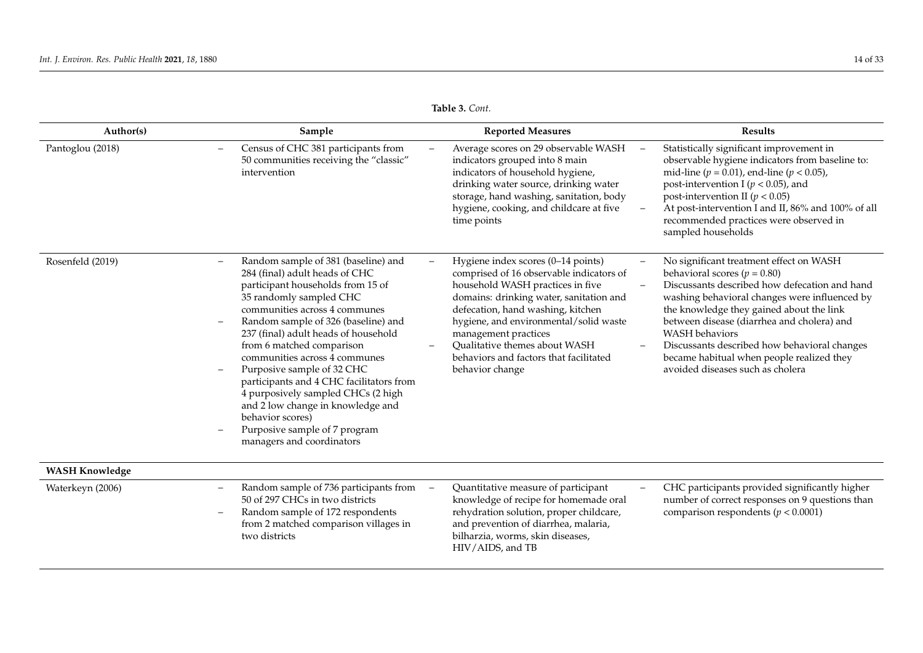| Author(s)             | Sample                                                                                                                                                                                                                                                                                                                                                                                                                                                                                                                                                            | <b>Reported Measures</b>                                                                                                                                                                                                                                                                                                                                           | <b>Results</b>                                                                                                                                                                                                                                                                                                                                                                                                                                                |
|-----------------------|-------------------------------------------------------------------------------------------------------------------------------------------------------------------------------------------------------------------------------------------------------------------------------------------------------------------------------------------------------------------------------------------------------------------------------------------------------------------------------------------------------------------------------------------------------------------|--------------------------------------------------------------------------------------------------------------------------------------------------------------------------------------------------------------------------------------------------------------------------------------------------------------------------------------------------------------------|---------------------------------------------------------------------------------------------------------------------------------------------------------------------------------------------------------------------------------------------------------------------------------------------------------------------------------------------------------------------------------------------------------------------------------------------------------------|
| Pantoglou (2018)      | Census of CHC 381 participants from<br>50 communities receiving the "classic"<br>intervention                                                                                                                                                                                                                                                                                                                                                                                                                                                                     | Average scores on 29 observable WASH<br>indicators grouped into 8 main<br>indicators of household hygiene,<br>drinking water source, drinking water<br>storage, hand washing, sanitation, body<br>hygiene, cooking, and childcare at five<br>time points                                                                                                           | Statistically significant improvement in<br>observable hygiene indicators from baseline to:<br>mid-line ( $p = 0.01$ ), end-line ( $p < 0.05$ ),<br>post-intervention I ( $p < 0.05$ ), and<br>post-intervention II ( $p < 0.05$ )<br>At post-intervention I and II, 86% and 100% of all<br>recommended practices were observed in<br>sampled households                                                                                                      |
| Rosenfeld (2019)      | Random sample of 381 (baseline) and<br>$-$<br>284 (final) adult heads of CHC<br>participant households from 15 of<br>35 randomly sampled CHC<br>communities across 4 communes<br>Random sample of 326 (baseline) and<br>237 (final) adult heads of household<br>from 6 matched comparison<br>communities across 4 communes<br>Purposive sample of 32 CHC<br>participants and 4 CHC facilitators from<br>4 purposively sampled CHCs (2 high<br>and 2 low change in knowledge and<br>behavior scores)<br>Purposive sample of 7 program<br>managers and coordinators | Hygiene index scores (0-14 points)<br>comprised of 16 observable indicators of<br>household WASH practices in five<br>domains: drinking water, sanitation and<br>defecation, hand washing, kitchen<br>hygiene, and environmental/solid waste<br>management practices<br>Qualitative themes about WASH<br>behaviors and factors that facilitated<br>behavior change | No significant treatment effect on WASH<br>$\overline{\phantom{m}}$<br>behavioral scores ( $p = 0.80$ )<br>Discussants described how defecation and hand<br>washing behavioral changes were influenced by<br>the knowledge they gained about the link<br>between disease (diarrhea and cholera) and<br><b>WASH</b> behaviors<br>Discussants described how behavioral changes<br>became habitual when people realized they<br>avoided diseases such as cholera |
| <b>WASH Knowledge</b> |                                                                                                                                                                                                                                                                                                                                                                                                                                                                                                                                                                   |                                                                                                                                                                                                                                                                                                                                                                    |                                                                                                                                                                                                                                                                                                                                                                                                                                                               |
| Waterkeyn (2006)      | Random sample of 736 participants from<br>50 of 297 CHCs in two districts<br>Random sample of 172 respondents<br>from 2 matched comparison villages in<br>two districts                                                                                                                                                                                                                                                                                                                                                                                           | Quantitative measure of participant<br>knowledge of recipe for homemade oral<br>rehydration solution, proper childcare,<br>and prevention of diarrhea, malaria,<br>bilharzia, worms, skin diseases,<br>HIV/AIDS, and TB                                                                                                                                            | CHC participants provided significantly higher<br>number of correct responses on 9 questions than<br>comparison respondents ( $p < 0.0001$ )                                                                                                                                                                                                                                                                                                                  |

**Table 3.** *Cont.*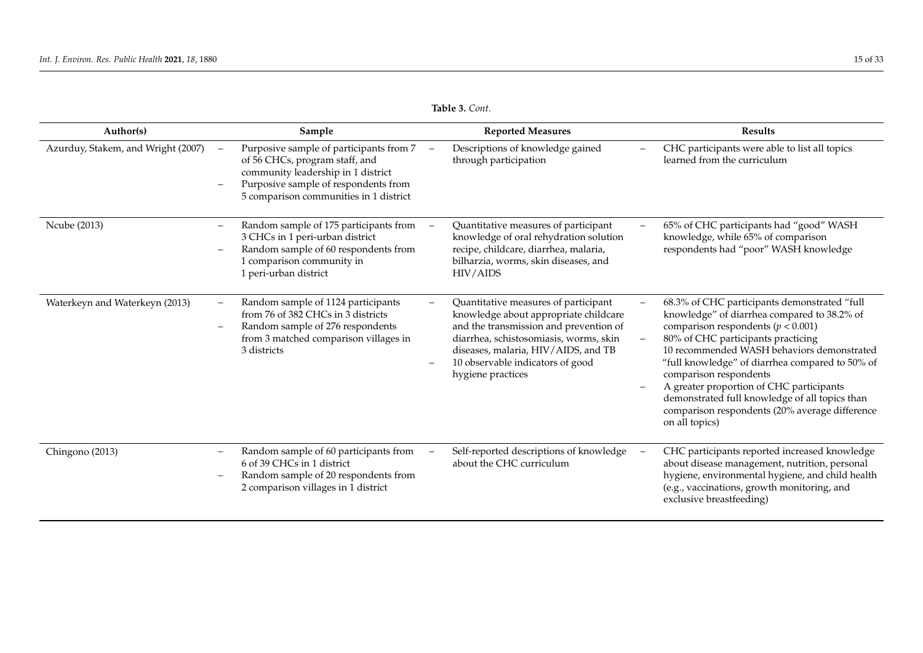| Author(s)                          | Sample                                                                                                                                                                                            | <b>Reported Measures</b>                                                                                                                                                                                                                                          | <b>Results</b>                                                                                                                                                                                                                                                                                                                                                                                                                                                           |
|------------------------------------|---------------------------------------------------------------------------------------------------------------------------------------------------------------------------------------------------|-------------------------------------------------------------------------------------------------------------------------------------------------------------------------------------------------------------------------------------------------------------------|--------------------------------------------------------------------------------------------------------------------------------------------------------------------------------------------------------------------------------------------------------------------------------------------------------------------------------------------------------------------------------------------------------------------------------------------------------------------------|
| Azurduy, Stakem, and Wright (2007) | Purposive sample of participants from 7<br>of 56 CHCs, program staff, and<br>community leadership in 1 district<br>Purposive sample of respondents from<br>5 comparison communities in 1 district | Descriptions of knowledge gained<br>through participation                                                                                                                                                                                                         | CHC participants were able to list all topics<br>learned from the curriculum                                                                                                                                                                                                                                                                                                                                                                                             |
| Ncube (2013)                       | Random sample of 175 participants from<br>3 CHCs in 1 peri-urban district<br>Random sample of 60 respondents from<br>1 comparison community in<br>1 peri-urban district                           | Quantitative measures of participant<br>knowledge of oral rehydration solution<br>recipe, childcare, diarrhea, malaria,<br>bilharzia, worms, skin diseases, and<br>HIV/AIDS                                                                                       | 65% of CHC participants had "good" WASH<br>knowledge, while 65% of comparison<br>respondents had "poor" WASH knowledge                                                                                                                                                                                                                                                                                                                                                   |
| Waterkeyn and Waterkeyn (2013)     | Random sample of 1124 participants<br>$-$<br>from 76 of 382 CHCs in 3 districts<br>Random sample of 276 respondents<br>from 3 matched comparison villages in<br>3 districts                       | Quantitative measures of participant<br>knowledge about appropriate childcare<br>and the transmission and prevention of<br>diarrhea, schistosomiasis, worms, skin<br>diseases, malaria, HIV/AIDS, and TB<br>10 observable indicators of good<br>hygiene practices | 68.3% of CHC participants demonstrated "full<br>knowledge" of diarrhea compared to 38.2% of<br>comparison respondents ( $p < 0.001$ )<br>80% of CHC participants practicing<br>10 recommended WASH behaviors demonstrated<br>"full knowledge" of diarrhea compared to 50% of<br>comparison respondents<br>A greater proportion of CHC participants<br>demonstrated full knowledge of all topics than<br>comparison respondents (20% average difference<br>on all topics) |
| Chingono (2013)                    | Random sample of 60 participants from<br>6 of 39 CHCs in 1 district<br>Random sample of 20 respondents from<br>2 comparison villages in 1 district                                                | Self-reported descriptions of knowledge<br>about the CHC curriculum                                                                                                                                                                                               | CHC participants reported increased knowledge<br>$\overline{\phantom{0}}$<br>about disease management, nutrition, personal<br>hygiene, environmental hygiene, and child health<br>(e.g., vaccinations, growth monitoring, and<br>exclusive breastfeeding)                                                                                                                                                                                                                |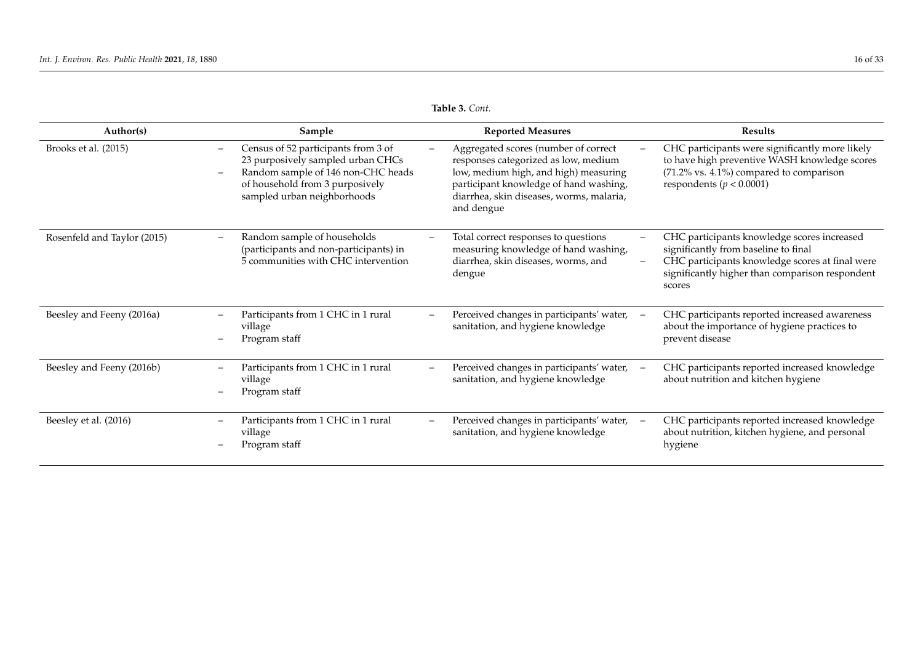| Author(s)                   | Sample                                                                                                                                                                                                       | <b>Reported Measures</b>                                                                                                                                                                                                                              | <b>Results</b>                                                                                                                                                                                      |
|-----------------------------|--------------------------------------------------------------------------------------------------------------------------------------------------------------------------------------------------------------|-------------------------------------------------------------------------------------------------------------------------------------------------------------------------------------------------------------------------------------------------------|-----------------------------------------------------------------------------------------------------------------------------------------------------------------------------------------------------|
| Brooks et al. (2015)        | Census of 52 participants from 3 of<br>23 purposively sampled urban CHCs<br>Random sample of 146 non-CHC heads<br>$\overline{\phantom{m}}$<br>of household from 3 purposively<br>sampled urban neighborhoods | Aggregated scores (number of correct<br>$\overline{\phantom{0}}$<br>responses categorized as low, medium<br>low, medium high, and high) measuring<br>participant knowledge of hand washing,<br>diarrhea, skin diseases, worms, malaria,<br>and dengue | CHC participants were significantly more likely<br>to have high preventive WASH knowledge scores<br>$(71.2\% \text{ vs. } 4.1\%)$ compared to comparison<br>respondents ( $p < 0.0001$ )            |
| Rosenfeld and Taylor (2015) | Random sample of households<br>(participants and non-participants) in<br>5 communities with CHC intervention                                                                                                 | Total correct responses to questions<br>measuring knowledge of hand washing,<br>diarrhea, skin diseases, worms, and<br>dengue                                                                                                                         | CHC participants knowledge scores increased<br>significantly from baseline to final<br>CHC participants knowledge scores at final were<br>significantly higher than comparison respondent<br>scores |
| Beesley and Feeny (2016a)   | Participants from 1 CHC in 1 rural<br>village<br>Program staff                                                                                                                                               | Perceived changes in participants' water,<br>$\overline{\phantom{0}}$<br>sanitation, and hygiene knowledge                                                                                                                                            | CHC participants reported increased awareness<br>about the importance of hygiene practices to<br>prevent disease                                                                                    |
| Beesley and Feeny (2016b)   | Participants from 1 CHC in 1 rural<br>village<br>Program staff                                                                                                                                               | Perceived changes in participants' water,<br>$\overline{\phantom{0}}$<br>sanitation, and hygiene knowledge                                                                                                                                            | CHC participants reported increased knowledge<br>about nutrition and kitchen hygiene                                                                                                                |
| Beesley et al. (2016)       | Participants from 1 CHC in 1 rural<br>village<br>Program staff                                                                                                                                               | Perceived changes in participants' water,<br>sanitation, and hygiene knowledge                                                                                                                                                                        | CHC participants reported increased knowledge<br>about nutrition, kitchen hygiene, and personal<br>hygiene                                                                                          |

**Table 3.** *Cont.*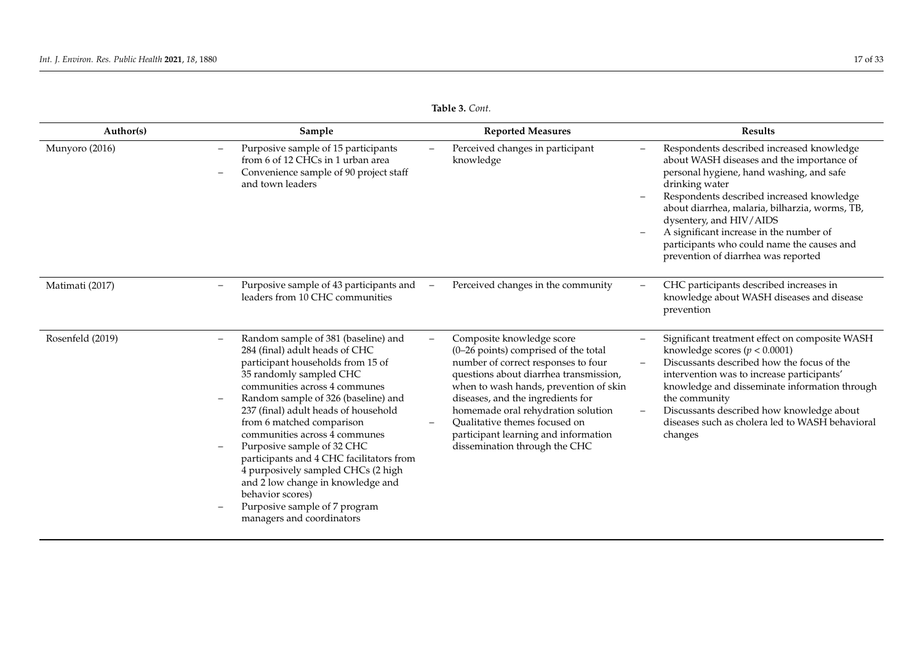| Author(s)        | Sample                                                                                                                                                                                                                                                                                                                                                                                                                                                                                                                                                                                                      | <b>Reported Measures</b>                                                                                                                                                                                                                                                                                                                                                          | <b>Results</b>                                                                                                                                                                                                                                                                                                                                                                                                 |
|------------------|-------------------------------------------------------------------------------------------------------------------------------------------------------------------------------------------------------------------------------------------------------------------------------------------------------------------------------------------------------------------------------------------------------------------------------------------------------------------------------------------------------------------------------------------------------------------------------------------------------------|-----------------------------------------------------------------------------------------------------------------------------------------------------------------------------------------------------------------------------------------------------------------------------------------------------------------------------------------------------------------------------------|----------------------------------------------------------------------------------------------------------------------------------------------------------------------------------------------------------------------------------------------------------------------------------------------------------------------------------------------------------------------------------------------------------------|
| Munyoro (2016)   | Purposive sample of 15 participants<br>from 6 of 12 CHCs in 1 urban area<br>Convenience sample of 90 project staff<br>and town leaders                                                                                                                                                                                                                                                                                                                                                                                                                                                                      | Perceived changes in participant<br>knowledge                                                                                                                                                                                                                                                                                                                                     | Respondents described increased knowledge<br>about WASH diseases and the importance of<br>personal hygiene, hand washing, and safe<br>drinking water<br>Respondents described increased knowledge<br>about diarrhea, malaria, bilharzia, worms, TB,<br>dysentery, and HIV/AIDS<br>A significant increase in the number of<br>participants who could name the causes and<br>prevention of diarrhea was reported |
| Matimati (2017)  | Purposive sample of 43 participants and<br>leaders from 10 CHC communities                                                                                                                                                                                                                                                                                                                                                                                                                                                                                                                                  | Perceived changes in the community                                                                                                                                                                                                                                                                                                                                                | CHC participants described increases in<br>knowledge about WASH diseases and disease<br>prevention                                                                                                                                                                                                                                                                                                             |
| Rosenfeld (2019) | Random sample of 381 (baseline) and<br>$\overline{\phantom{m}}$<br>284 (final) adult heads of CHC<br>participant households from 15 of<br>35 randomly sampled CHC<br>communities across 4 communes<br>Random sample of 326 (baseline) and<br>$\qquad \qquad -$<br>237 (final) adult heads of household<br>from 6 matched comparison<br>communities across 4 communes<br>Purposive sample of 32 CHC<br>participants and 4 CHC facilitators from<br>4 purposively sampled CHCs (2 high<br>and 2 low change in knowledge and<br>behavior scores)<br>Purposive sample of 7 program<br>managers and coordinators | Composite knowledge score<br>(0-26 points) comprised of the total<br>number of correct responses to four<br>questions about diarrhea transmission,<br>when to wash hands, prevention of skin<br>diseases, and the ingredients for<br>homemade oral rehydration solution<br>Qualitative themes focused on<br>participant learning and information<br>dissemination through the CHC | Significant treatment effect on composite WASH<br>knowledge scores ( $p < 0.0001$ )<br>Discussants described how the focus of the<br>intervention was to increase participants'<br>knowledge and disseminate information through<br>the community<br>Discussants described how knowledge about<br>diseases such as cholera led to WASH behavioral<br>changes                                                   |

**Table 3.** *Cont.*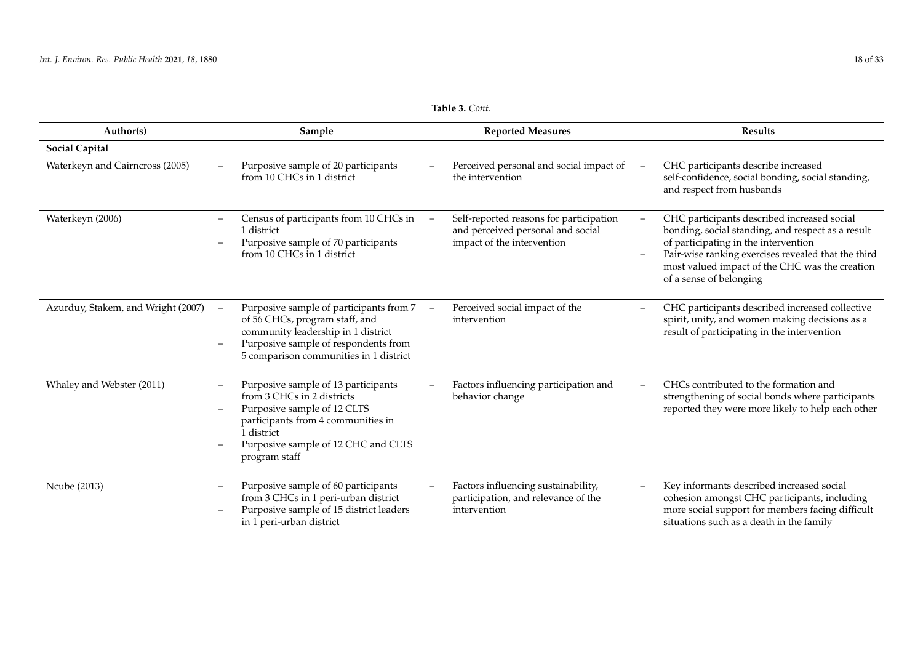| Author(s)                          | Sample                                                                                                                                                                                                                        | <b>Reported Measures</b>                                                                                   | <b>Results</b>                                                                                                                                                                                                                                                                                    |
|------------------------------------|-------------------------------------------------------------------------------------------------------------------------------------------------------------------------------------------------------------------------------|------------------------------------------------------------------------------------------------------------|---------------------------------------------------------------------------------------------------------------------------------------------------------------------------------------------------------------------------------------------------------------------------------------------------|
| <b>Social Capital</b>              |                                                                                                                                                                                                                               |                                                                                                            |                                                                                                                                                                                                                                                                                                   |
| Waterkeyn and Cairncross (2005)    | Purposive sample of 20 participants<br>from 10 CHCs in 1 district                                                                                                                                                             | Perceived personal and social impact of<br>the intervention                                                | CHC participants describe increased<br>self-confidence, social bonding, social standing,<br>and respect from husbands                                                                                                                                                                             |
| Waterkeyn (2006)                   | Census of participants from 10 CHCs in<br>1 district<br>Purposive sample of 70 participants<br>from 10 CHCs in 1 district                                                                                                     | Self-reported reasons for participation<br>and perceived personal and social<br>impact of the intervention | CHC participants described increased social<br>bonding, social standing, and respect as a result<br>of participating in the intervention<br>Pair-wise ranking exercises revealed that the third<br>$\qquad \qquad -$<br>most valued impact of the CHC was the creation<br>of a sense of belonging |
| Azurduy, Stakem, and Wright (2007) | Purposive sample of participants from 7<br>$\overline{\phantom{a}}$<br>of 56 CHCs, program staff, and<br>community leadership in 1 district<br>Purposive sample of respondents from<br>5 comparison communities in 1 district | Perceived social impact of the<br>intervention                                                             | CHC participants described increased collective<br>spirit, unity, and women making decisions as a<br>result of participating in the intervention                                                                                                                                                  |
| Whaley and Webster (2011)          | Purposive sample of 13 participants<br>from 3 CHCs in 2 districts<br>Purposive sample of 12 CLTS<br>participants from 4 communities in<br>1 district<br>Purposive sample of 12 CHC and CLTS<br>program staff                  | Factors influencing participation and<br>behavior change                                                   | CHCs contributed to the formation and<br>$\equiv$<br>strengthening of social bonds where participants<br>reported they were more likely to help each other                                                                                                                                        |
| Ncube (2013)                       | Purposive sample of 60 participants<br>from 3 CHCs in 1 peri-urban district<br>Purposive sample of 15 district leaders<br>in 1 peri-urban district                                                                            | Factors influencing sustainability,<br>participation, and relevance of the<br>intervention                 | Key informants described increased social<br>cohesion amongst CHC participants, including<br>more social support for members facing difficult<br>situations such as a death in the family                                                                                                         |

# **Table 3.** *Cont.*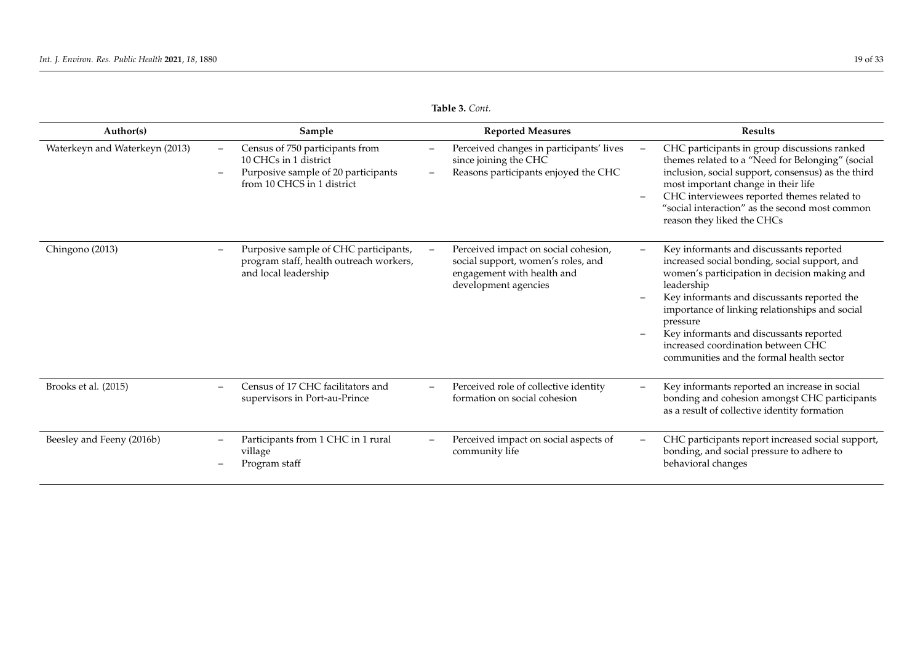| Author(s)                      | Sample                                                                                                                        | <b>Reported Measures</b>                                                                                                              | <b>Results</b>                                                                                                                                                                                                                                                                                                                                                                                   |
|--------------------------------|-------------------------------------------------------------------------------------------------------------------------------|---------------------------------------------------------------------------------------------------------------------------------------|--------------------------------------------------------------------------------------------------------------------------------------------------------------------------------------------------------------------------------------------------------------------------------------------------------------------------------------------------------------------------------------------------|
| Waterkeyn and Waterkeyn (2013) | Census of 750 participants from<br>10 CHCs in 1 district<br>Purposive sample of 20 participants<br>from 10 CHCS in 1 district | Perceived changes in participants' lives<br>since joining the CHC<br>Reasons participants enjoyed the CHC<br>$\overline{\phantom{m}}$ | CHC participants in group discussions ranked<br>$\overline{\phantom{m}}$<br>themes related to a "Need for Belonging" (social<br>inclusion, social support, consensus) as the third<br>most important change in their life<br>CHC interviewees reported themes related to<br>"social interaction" as the second most common<br>reason they liked the CHCs                                         |
| Chingono (2013)                | Purposive sample of CHC participants,<br>program staff, health outreach workers,<br>and local leadership                      | Perceived impact on social cohesion,<br>social support, women's roles, and<br>engagement with health and<br>development agencies      | Key informants and discussants reported<br>increased social bonding, social support, and<br>women's participation in decision making and<br>leadership<br>Key informants and discussants reported the<br>importance of linking relationships and social<br>pressure<br>Key informants and discussants reported<br>increased coordination between CHC<br>communities and the formal health sector |
| Brooks et al. (2015)           | Census of 17 CHC facilitators and<br>supervisors in Port-au-Prince                                                            | Perceived role of collective identity<br>$\overline{\phantom{0}}$<br>formation on social cohesion                                     | Key informants reported an increase in social<br>bonding and cohesion amongst CHC participants<br>as a result of collective identity formation                                                                                                                                                                                                                                                   |
| Beesley and Feeny (2016b)      | Participants from 1 CHC in 1 rural<br>village<br>Program staff                                                                | Perceived impact on social aspects of<br>$\overline{\phantom{m}}$<br>community life                                                   | CHC participants report increased social support,<br>bonding, and social pressure to adhere to<br>behavioral changes                                                                                                                                                                                                                                                                             |

**Table 3.** *Cont.*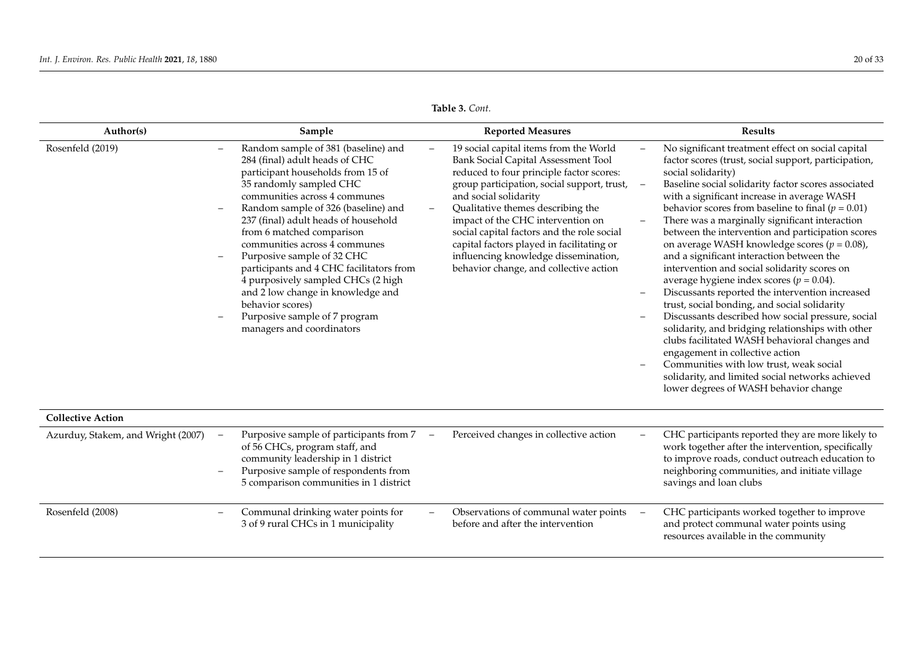**Table 3.** *Cont.*

| Author(s)                          | Sample                                                                                                                                                                                                                                                                                                                                                                                                                                                                                                                                                     | <b>Reported Measures</b>                                                                                                                                                                                                                                                                                                                                                                                                                                                                    | <b>Results</b>                                                                                                                                                                                                                                                                                                                                                                                                                                                                                                                                                                                                                                                                                                                                                                                                                                                                                                                                                                                                                                                                                          |
|------------------------------------|------------------------------------------------------------------------------------------------------------------------------------------------------------------------------------------------------------------------------------------------------------------------------------------------------------------------------------------------------------------------------------------------------------------------------------------------------------------------------------------------------------------------------------------------------------|---------------------------------------------------------------------------------------------------------------------------------------------------------------------------------------------------------------------------------------------------------------------------------------------------------------------------------------------------------------------------------------------------------------------------------------------------------------------------------------------|---------------------------------------------------------------------------------------------------------------------------------------------------------------------------------------------------------------------------------------------------------------------------------------------------------------------------------------------------------------------------------------------------------------------------------------------------------------------------------------------------------------------------------------------------------------------------------------------------------------------------------------------------------------------------------------------------------------------------------------------------------------------------------------------------------------------------------------------------------------------------------------------------------------------------------------------------------------------------------------------------------------------------------------------------------------------------------------------------------|
| Rosenfeld (2019)                   | Random sample of 381 (baseline) and<br>284 (final) adult heads of CHC<br>participant households from 15 of<br>35 randomly sampled CHC<br>communities across 4 communes<br>Random sample of 326 (baseline) and<br>237 (final) adult heads of household<br>from 6 matched comparison<br>communities across 4 communes<br>Purposive sample of 32 CHC<br>participants and 4 CHC facilitators from<br>4 purposively sampled CHCs (2 high<br>and 2 low change in knowledge and<br>behavior scores)<br>Purposive sample of 7 program<br>managers and coordinators | 19 social capital items from the World<br><b>Bank Social Capital Assessment Tool</b><br>reduced to four principle factor scores:<br>group participation, social support, trust,<br>and social solidarity<br>Qualitative themes describing the<br>$\overline{\phantom{m}}$<br>impact of the CHC intervention on<br>social capital factors and the role social<br>capital factors played in facilitating or<br>influencing knowledge dissemination,<br>behavior change, and collective action | No significant treatment effect on social capital<br>factor scores (trust, social support, participation,<br>social solidarity)<br>Baseline social solidarity factor scores associated<br>$\overline{\phantom{a}}$<br>with a significant increase in average WASH<br>behavior scores from baseline to final ( $p = 0.01$ )<br>There was a marginally significant interaction<br>between the intervention and participation scores<br>on average WASH knowledge scores ( $p = 0.08$ ),<br>and a significant interaction between the<br>intervention and social solidarity scores on<br>average hygiene index scores ( $p = 0.04$ ).<br>Discussants reported the intervention increased<br>$\overline{\phantom{0}}$<br>trust, social bonding, and social solidarity<br>Discussants described how social pressure, social<br>solidarity, and bridging relationships with other<br>clubs facilitated WASH behavioral changes and<br>engagement in collective action<br>Communities with low trust, weak social<br>solidarity, and limited social networks achieved<br>lower degrees of WASH behavior change |
| <b>Collective Action</b>           |                                                                                                                                                                                                                                                                                                                                                                                                                                                                                                                                                            |                                                                                                                                                                                                                                                                                                                                                                                                                                                                                             |                                                                                                                                                                                                                                                                                                                                                                                                                                                                                                                                                                                                                                                                                                                                                                                                                                                                                                                                                                                                                                                                                                         |
| Azurduy, Stakem, and Wright (2007) | Purposive sample of participants from 7<br>$\overline{\phantom{m}}$<br>of 56 CHCs, program staff, and<br>community leadership in 1 district<br>Purposive sample of respondents from<br>5 comparison communities in 1 district                                                                                                                                                                                                                                                                                                                              | Perceived changes in collective action                                                                                                                                                                                                                                                                                                                                                                                                                                                      | CHC participants reported they are more likely to<br>work together after the intervention, specifically<br>to improve roads, conduct outreach education to<br>neighboring communities, and initiate village<br>savings and loan clubs                                                                                                                                                                                                                                                                                                                                                                                                                                                                                                                                                                                                                                                                                                                                                                                                                                                                   |
| Rosenfeld (2008)                   | Communal drinking water points for<br>3 of 9 rural CHCs in 1 municipality                                                                                                                                                                                                                                                                                                                                                                                                                                                                                  | Observations of communal water points<br>before and after the intervention                                                                                                                                                                                                                                                                                                                                                                                                                  | CHC participants worked together to improve<br>and protect communal water points using<br>resources available in the community                                                                                                                                                                                                                                                                                                                                                                                                                                                                                                                                                                                                                                                                                                                                                                                                                                                                                                                                                                          |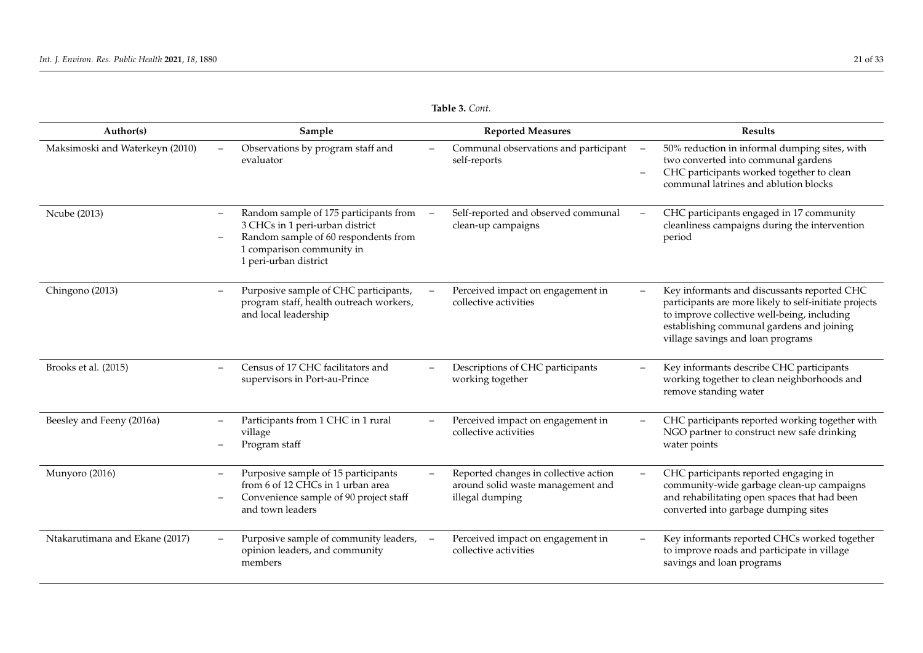| Author(s)                       | Sample                                                                                                                                                                                              | <b>Reported Measures</b>                                                                      | <b>Results</b>                                                                                                                                                                                                                                                     |
|---------------------------------|-----------------------------------------------------------------------------------------------------------------------------------------------------------------------------------------------------|-----------------------------------------------------------------------------------------------|--------------------------------------------------------------------------------------------------------------------------------------------------------------------------------------------------------------------------------------------------------------------|
| Maksimoski and Waterkeyn (2010) | Observations by program staff and<br>evaluator                                                                                                                                                      | Communal observations and participant<br>self-reports                                         | 50% reduction in informal dumping sites, with<br>two converted into communal gardens<br>CHC participants worked together to clean<br>$\qquad \qquad -$<br>communal latrines and ablution blocks                                                                    |
| Ncube (2013)                    | Random sample of 175 participants from<br>$\overline{\phantom{0}}$<br>3 CHCs in 1 peri-urban district<br>Random sample of 60 respondents from<br>1 comparison community in<br>1 peri-urban district | Self-reported and observed communal<br>clean-up campaigns                                     | CHC participants engaged in 17 community<br>$\overline{\phantom{a}}$<br>cleanliness campaigns during the intervention<br>period                                                                                                                                    |
| Chingono (2013)                 | Purposive sample of CHC participants,<br>program staff, health outreach workers,<br>and local leadership                                                                                            | Perceived impact on engagement in<br>collective activities                                    | Key informants and discussants reported CHC<br>$\overline{\phantom{0}}$<br>participants are more likely to self-initiate projects<br>to improve collective well-being, including<br>establishing communal gardens and joining<br>village savings and loan programs |
| Brooks et al. (2015)            | Census of 17 CHC facilitators and<br>supervisors in Port-au-Prince                                                                                                                                  | Descriptions of CHC participants<br>working together                                          | Key informants describe CHC participants<br>working together to clean neighborhoods and<br>remove standing water                                                                                                                                                   |
| Beesley and Feeny (2016a)       | Participants from 1 CHC in 1 rural<br>village<br>Program staff                                                                                                                                      | Perceived impact on engagement in<br>collective activities                                    | CHC participants reported working together with<br>NGO partner to construct new safe drinking<br>water points                                                                                                                                                      |
| Munyoro (2016)                  | Purposive sample of 15 participants<br>from 6 of 12 CHCs in 1 urban area<br>Convenience sample of 90 project staff<br>and town leaders                                                              | Reported changes in collective action<br>around solid waste management and<br>illegal dumping | CHC participants reported engaging in<br>community-wide garbage clean-up campaigns<br>and rehabilitating open spaces that had been<br>converted into garbage dumping sites                                                                                         |
| Ntakarutimana and Ekane (2017)  | Purposive sample of community leaders,<br>$\overline{\phantom{m}}$<br>opinion leaders, and community<br>members                                                                                     | Perceived impact on engagement in<br>collective activities                                    | Key informants reported CHCs worked together<br>to improve roads and participate in village<br>savings and loan programs                                                                                                                                           |

**Table 3.** *Cont.*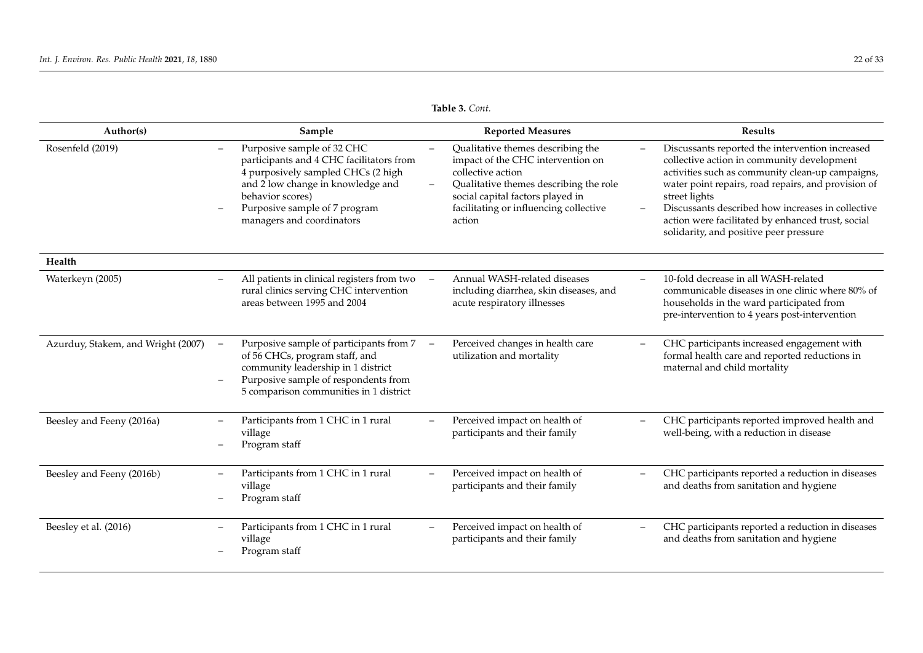| Table 3. Cont. |  |
|----------------|--|
|----------------|--|

| Author(s)                          | Sample                                                                                                                                                                                                                              | <b>Reported Measures</b>                                                                                                                                                                                                      | <b>Results</b>                                                                                                                                                                                                                                                                                                                                                                |
|------------------------------------|-------------------------------------------------------------------------------------------------------------------------------------------------------------------------------------------------------------------------------------|-------------------------------------------------------------------------------------------------------------------------------------------------------------------------------------------------------------------------------|-------------------------------------------------------------------------------------------------------------------------------------------------------------------------------------------------------------------------------------------------------------------------------------------------------------------------------------------------------------------------------|
| Rosenfeld (2019)                   | Purposive sample of 32 CHC<br>participants and 4 CHC facilitators from<br>4 purposively sampled CHCs (2 high<br>and 2 low change in knowledge and<br>behavior scores)<br>Purposive sample of 7 program<br>managers and coordinators | Qualitative themes describing the<br>impact of the CHC intervention on<br>collective action<br>Qualitative themes describing the role<br>social capital factors played in<br>facilitating or influencing collective<br>action | Discussants reported the intervention increased<br>collective action in community development<br>activities such as community clean-up campaigns,<br>water point repairs, road repairs, and provision of<br>street lights<br>Discussants described how increases in collective<br>action were facilitated by enhanced trust, social<br>solidarity, and positive peer pressure |
| Health                             |                                                                                                                                                                                                                                     |                                                                                                                                                                                                                               |                                                                                                                                                                                                                                                                                                                                                                               |
| Waterkeyn (2005)                   | All patients in clinical registers from two<br>rural clinics serving CHC intervention<br>areas between 1995 and 2004                                                                                                                | Annual WASH-related diseases<br>including diarrhea, skin diseases, and<br>acute respiratory illnesses                                                                                                                         | 10-fold decrease in all WASH-related<br>communicable diseases in one clinic where 80% of<br>households in the ward participated from<br>pre-intervention to 4 years post-intervention                                                                                                                                                                                         |
| Azurduy, Stakem, and Wright (2007) | Purposive sample of participants from 7<br>$\overline{\phantom{0}}$<br>of 56 CHCs, program staff, and<br>community leadership in 1 district<br>Purposive sample of respondents from<br>5 comparison communities in 1 district       | Perceived changes in health care<br>utilization and mortality                                                                                                                                                                 | CHC participants increased engagement with<br>formal health care and reported reductions in<br>maternal and child mortality                                                                                                                                                                                                                                                   |
| Beesley and Feeny (2016a)          | Participants from 1 CHC in 1 rural<br>village<br>Program staff                                                                                                                                                                      | Perceived impact on health of<br>participants and their family                                                                                                                                                                | CHC participants reported improved health and<br>well-being, with a reduction in disease                                                                                                                                                                                                                                                                                      |
| Beesley and Feeny (2016b)          | Participants from 1 CHC in 1 rural<br>village<br>Program staff                                                                                                                                                                      | Perceived impact on health of<br>participants and their family                                                                                                                                                                | CHC participants reported a reduction in diseases<br>÷<br>and deaths from sanitation and hygiene                                                                                                                                                                                                                                                                              |
| Beesley et al. (2016)              | Participants from 1 CHC in 1 rural<br>village<br>Program staff                                                                                                                                                                      | Perceived impact on health of<br>participants and their family                                                                                                                                                                | CHC participants reported a reduction in diseases<br>and deaths from sanitation and hygiene                                                                                                                                                                                                                                                                                   |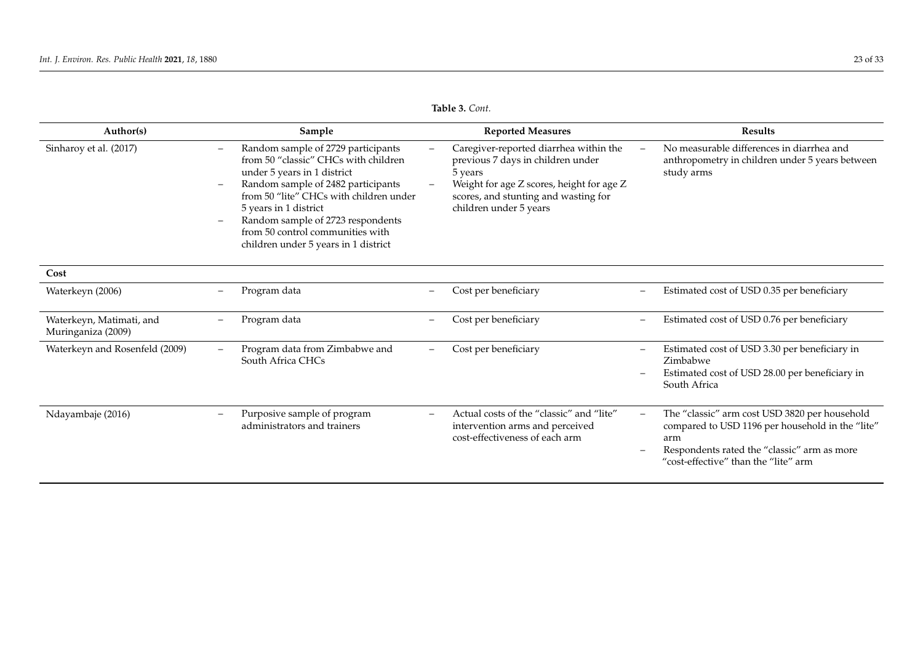<span id="page-22-0"></span>

| Author(s)                                      | Sample                                                                                                                                                                                                                                                                                                                                    | <b>Reported Measures</b>                                                                                                                                                                              | <b>Results</b>                                                                                                                                                                                                              |
|------------------------------------------------|-------------------------------------------------------------------------------------------------------------------------------------------------------------------------------------------------------------------------------------------------------------------------------------------------------------------------------------------|-------------------------------------------------------------------------------------------------------------------------------------------------------------------------------------------------------|-----------------------------------------------------------------------------------------------------------------------------------------------------------------------------------------------------------------------------|
| Sinharoy et al. (2017)                         | Random sample of 2729 participants<br>-<br>from 50 "classic" CHCs with children<br>under 5 years in 1 district<br>Random sample of 2482 participants<br>from 50 "lite" CHCs with children under<br>5 years in 1 district<br>Random sample of 2723 respondents<br>from 50 control communities with<br>children under 5 years in 1 district | Caregiver-reported diarrhea within the<br>previous 7 days in children under<br>5 years<br>Weight for age Z scores, height for age Z<br>scores, and stunting and wasting for<br>children under 5 years | No measurable differences in diarrhea and<br>anthropometry in children under 5 years between<br>study arms                                                                                                                  |
| Cost                                           |                                                                                                                                                                                                                                                                                                                                           |                                                                                                                                                                                                       |                                                                                                                                                                                                                             |
| Waterkeyn (2006)                               | Program data                                                                                                                                                                                                                                                                                                                              | Cost per beneficiary                                                                                                                                                                                  | Estimated cost of USD 0.35 per beneficiary<br>$\overline{\phantom{0}}$                                                                                                                                                      |
| Waterkeyn, Matimati, and<br>Muringaniza (2009) | Program data                                                                                                                                                                                                                                                                                                                              | Cost per beneficiary<br>$\overline{\phantom{m}}$                                                                                                                                                      | Estimated cost of USD 0.76 per beneficiary<br>$\overline{\phantom{m}}$                                                                                                                                                      |
| Waterkeyn and Rosenfeld (2009)                 | Program data from Zimbabwe and<br>South Africa CHCs                                                                                                                                                                                                                                                                                       | Cost per beneficiary<br>$\overline{\phantom{m}}$                                                                                                                                                      | Estimated cost of USD 3.30 per beneficiary in<br>$\overline{\phantom{m}}$<br>Zimbabwe<br>Estimated cost of USD 28.00 per beneficiary in<br>$\overline{\phantom{m}}$<br>South Africa                                         |
| Ndayambaje (2016)                              | Purposive sample of program<br>administrators and trainers                                                                                                                                                                                                                                                                                | Actual costs of the "classic" and "lite"<br>$\overline{\phantom{a}}$<br>intervention arms and perceived<br>cost-effectiveness of each arm                                                             | The "classic" arm cost USD 3820 per household<br>$\overline{\phantom{m}}$<br>compared to USD 1196 per household in the "lite"<br>arm<br>Respondents rated the "classic" arm as more<br>"cost-effective" than the "lite" arm |

**Table 3.** *Cont.*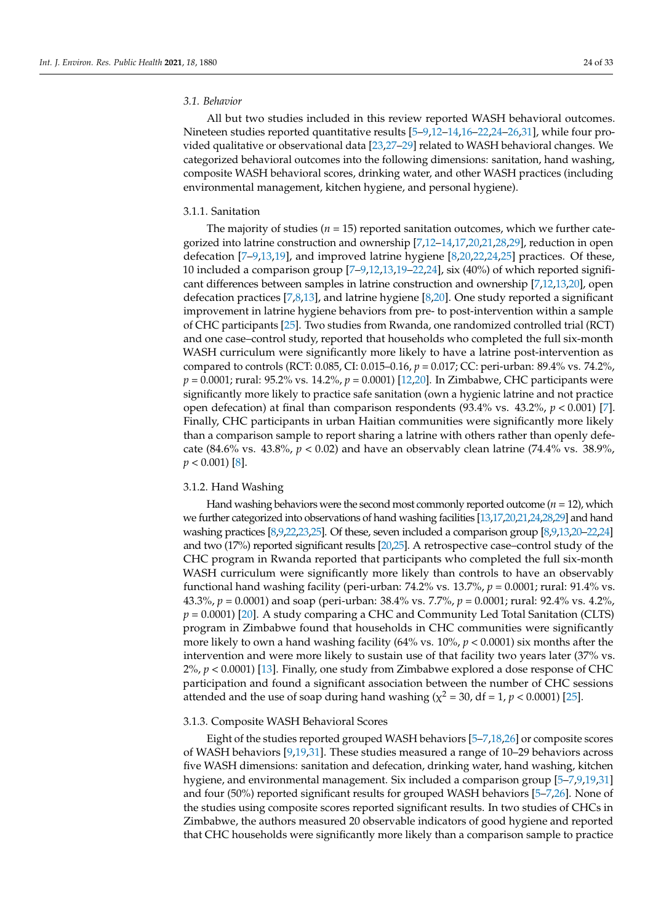#### *3.1. Behavior*

All but two studies included in this review reported WASH behavioral outcomes. Nineteen studies reported quantitative results [\[5–](#page-31-3)[9](#page-31-6)[,12](#page-31-9)[–14,](#page-31-12)[16–](#page-31-14)[22,](#page-32-5)[24](#page-32-8)[–26,](#page-32-1)[31\]](#page-32-4), while four provided qualitative or observational data [\[23](#page-32-9)[,27–](#page-32-2)[29\]](#page-32-10) related to WASH behavioral changes. We categorized behavioral outcomes into the following dimensions: sanitation, hand washing, composite WASH behavioral scores, drinking water, and other WASH practices (including environmental management, kitchen hygiene, and personal hygiene).

## 3.1.1. Sanitation

The majority of studies ( $n = 15$ ) reported sanitation outcomes, which we further categorized into latrine construction and ownership [\[7,](#page-31-5)[12](#page-31-9)[–14](#page-31-12)[,17,](#page-31-15)[20,](#page-31-13)[21,](#page-32-0)[28](#page-32-7)[,29\]](#page-32-10), reduction in open defecation [\[7](#page-31-5)[–9](#page-31-6)[,13](#page-31-11)[,19\]](#page-31-18), and improved latrine hygiene [\[8,](#page-31-10)[20,](#page-31-13)[22,](#page-32-5)[24,](#page-32-8)[25\]](#page-32-6) practices. Of these, 10 included a comparison group [\[7–](#page-31-5)[9](#page-31-6)[,12](#page-31-9)[,13](#page-31-11)[,19](#page-31-18)[–22](#page-32-5)[,24\]](#page-32-8), six (40%) of which reported significant differences between samples in latrine construction and ownership [\[7](#page-31-5)[,12](#page-31-9)[,13](#page-31-11)[,20\]](#page-31-13), open defecation practices [\[7](#page-31-5)[,8](#page-31-10)[,13\]](#page-31-11), and latrine hygiene [\[8,](#page-31-10)[20\]](#page-31-13). One study reported a significant improvement in latrine hygiene behaviors from pre- to post-intervention within a sample of CHC participants [\[25\]](#page-32-6). Two studies from Rwanda, one randomized controlled trial (RCT) and one case–control study, reported that households who completed the full six-month WASH curriculum were significantly more likely to have a latrine post-intervention as compared to controls (RCT: 0.085, CI: 0.015–0.16, *p* = 0.017; CC: peri-urban: 89.4% vs. 74.2%, *p* = 0.0001; rural: 95.2% vs. 14.2%, *p* = 0.0001) [\[12](#page-31-9)[,20\]](#page-31-13). In Zimbabwe, CHC participants were significantly more likely to practice safe sanitation (own a hygienic latrine and not practice open defecation) at final than comparison respondents (93.4% vs. 43.2%, *p* < 0.001) [\[7\]](#page-31-5). Finally, CHC participants in urban Haitian communities were significantly more likely than a comparison sample to report sharing a latrine with others rather than openly defecate (84.6% vs. 43.8%,  $p < 0.02$ ) and have an observably clean latrine (74.4% vs. 38.9%, *p* < 0.001) [\[8\]](#page-31-10).

# 3.1.2. Hand Washing

Hand washing behaviors were the second most commonly reported outcome  $(n = 12)$ , which we further categorized into observations of hand washing facilities [\[13](#page-31-11)[,17,](#page-31-15)[20](#page-31-13)[,21,](#page-32-0)[24,](#page-32-8)[28](#page-32-7)[,29\]](#page-32-10) and hand washing practices [\[8,](#page-31-10)[9,](#page-31-6)[22](#page-32-5)[,23,](#page-32-9)[25\]](#page-32-6). Of these, seven included a comparison group [\[8](#page-31-10)[,9,](#page-31-6)[13](#page-31-11)[,20–](#page-31-13)[22,](#page-32-5)[24\]](#page-32-8) and two (17%) reported significant results [\[20](#page-31-13)[,25\]](#page-32-6). A retrospective case–control study of the CHC program in Rwanda reported that participants who completed the full six-month WASH curriculum were significantly more likely than controls to have an observably functional hand washing facility (peri-urban: 74.2% vs. 13.7%, *p* = 0.0001; rural: 91.4% vs. 43.3%, *p* = 0.0001) and soap (peri-urban: 38.4% vs. 7.7%, *p* = 0.0001; rural: 92.4% vs. 4.2%, *p* = 0.0001) [\[20\]](#page-31-13). A study comparing a CHC and Community Led Total Sanitation (CLTS) program in Zimbabwe found that households in CHC communities were significantly more likely to own a hand washing facility (64% vs. 10%, *p* < 0.0001) six months after the intervention and were more likely to sustain use of that facility two years later (37% vs. 2%, *p* < 0.0001) [\[13\]](#page-31-11). Finally, one study from Zimbabwe explored a dose response of CHC participation and found a significant association between the number of CHC sessions attended and the use of soap during hand washing  $(\chi^2 = 30, df = 1, p < 0.0001)$  [\[25\]](#page-32-6).

#### 3.1.3. Composite WASH Behavioral Scores

Eight of the studies reported grouped WASH behaviors [\[5](#page-31-3)[–7,](#page-31-5)[18,](#page-31-16)[26\]](#page-32-1) or composite scores of WASH behaviors [\[9](#page-31-6)[,19](#page-31-18)[,31\]](#page-32-4). These studies measured a range of 10–29 behaviors across five WASH dimensions: sanitation and defecation, drinking water, hand washing, kitchen hygiene, and environmental management. Six included a comparison group [\[5–](#page-31-3)[7,](#page-31-5)[9,](#page-31-6)[19,](#page-31-18)[31\]](#page-32-4) and four (50%) reported significant results for grouped WASH behaviors [\[5](#page-31-3)[–7](#page-31-5)[,26\]](#page-32-1). None of the studies using composite scores reported significant results. In two studies of CHCs in Zimbabwe, the authors measured 20 observable indicators of good hygiene and reported that CHC households were significantly more likely than a comparison sample to practice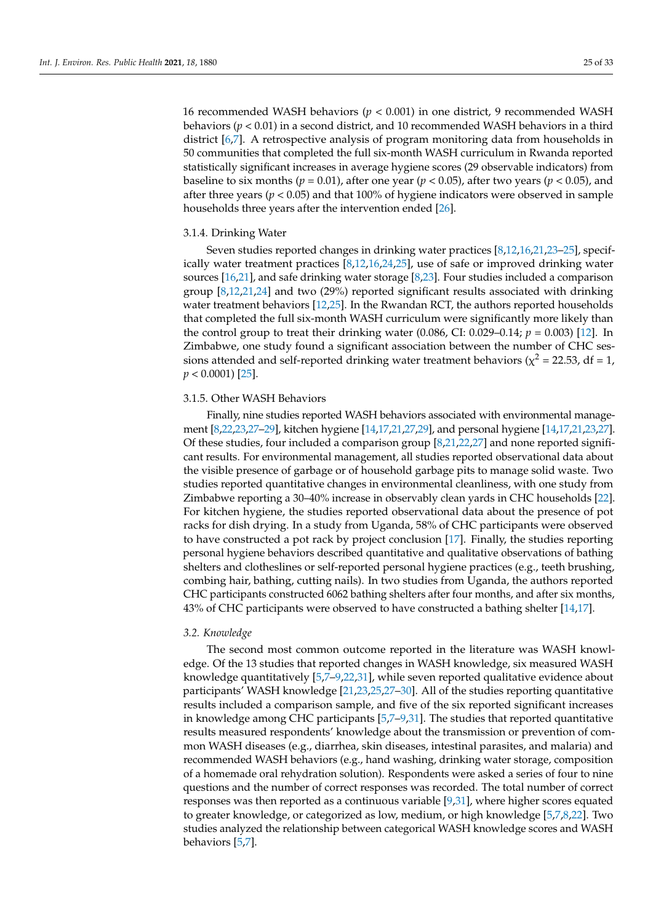16 recommended WASH behaviors (*p* < 0.001) in one district, 9 recommended WASH behaviors ( $p < 0.01$ ) in a second district, and 10 recommended WASH behaviors in a third district [\[6](#page-31-4)[,7\]](#page-31-5). A retrospective analysis of program monitoring data from households in 50 communities that completed the full six-month WASH curriculum in Rwanda reported statistically significant increases in average hygiene scores (29 observable indicators) from baseline to six months ( $p = 0.01$ ), after one year ( $p < 0.05$ ), after two years ( $p < 0.05$ ), and after three years (*p* < 0.05) and that 100% of hygiene indicators were observed in sample households three years after the intervention ended [\[26\]](#page-32-1).

# 3.1.4. Drinking Water

Seven studies reported changes in drinking water practices [\[8](#page-31-10)[,12](#page-31-9)[,16](#page-31-14)[,21](#page-32-0)[,23–](#page-32-9)[25\]](#page-32-6), specifically water treatment practices  $[8,12,16,24,25]$  $[8,12,16,24,25]$  $[8,12,16,24,25]$  $[8,12,16,24,25]$  $[8,12,16,24,25]$ , use of safe or improved drinking water sources [\[16,](#page-31-14)[21\]](#page-32-0), and safe drinking water storage [\[8,](#page-31-10)[23\]](#page-32-9). Four studies included a comparison group [\[8](#page-31-10)[,12](#page-31-9)[,21](#page-32-0)[,24\]](#page-32-8) and two (29%) reported significant results associated with drinking water treatment behaviors [\[12,](#page-31-9)[25\]](#page-32-6). In the Rwandan RCT, the authors reported households that completed the full six-month WASH curriculum were significantly more likely than the control group to treat their drinking water  $(0.086, CI: 0.029 - 0.14; p = 0.003)$  [\[12\]](#page-31-9). In Zimbabwe, one study found a significant association between the number of CHC sessions attended and self-reported drinking water treatment behaviors ( $\chi^2$  = 22.53, df = 1, *p* < 0.0001) [\[25\]](#page-32-6).

## 3.1.5. Other WASH Behaviors

Finally, nine studies reported WASH behaviors associated with environmental management [\[8](#page-31-10)[,22](#page-32-5)[,23](#page-32-9)[,27](#page-32-2)[–29\]](#page-32-10), kitchen hygiene [\[14,](#page-31-12)[17,](#page-31-15)[21,](#page-32-0)[27,](#page-32-2)[29\]](#page-32-10), and personal hygiene [\[14,](#page-31-12)[17,](#page-31-15)[21](#page-32-0)[,23](#page-32-9)[,27\]](#page-32-2). Of these studies, four included a comparison group [\[8,](#page-31-10)[21](#page-32-0)[,22](#page-32-5)[,27\]](#page-32-2) and none reported significant results. For environmental management, all studies reported observational data about the visible presence of garbage or of household garbage pits to manage solid waste. Two studies reported quantitative changes in environmental cleanliness, with one study from Zimbabwe reporting a 30–40% increase in observably clean yards in CHC households [\[22\]](#page-32-5). For kitchen hygiene, the studies reported observational data about the presence of pot racks for dish drying. In a study from Uganda, 58% of CHC participants were observed to have constructed a pot rack by project conclusion [\[17\]](#page-31-15). Finally, the studies reporting personal hygiene behaviors described quantitative and qualitative observations of bathing shelters and clotheslines or self-reported personal hygiene practices (e.g., teeth brushing, combing hair, bathing, cutting nails). In two studies from Uganda, the authors reported CHC participants constructed 6062 bathing shelters after four months, and after six months, 43% of CHC participants were observed to have constructed a bathing shelter [\[14](#page-31-12)[,17\]](#page-31-15).

#### *3.2. Knowledge*

The second most common outcome reported in the literature was WASH knowledge. Of the 13 studies that reported changes in WASH knowledge, six measured WASH knowledge quantitatively [\[5](#page-31-3)[,7–](#page-31-5)[9](#page-31-6)[,22](#page-32-5)[,31\]](#page-32-4), while seven reported qualitative evidence about participants' WASH knowledge [\[21](#page-32-0)[,23](#page-32-9)[,25](#page-32-6)[,27](#page-32-2)[–30\]](#page-32-3). All of the studies reporting quantitative results included a comparison sample, and five of the six reported significant increases in knowledge among CHC participants [\[5,](#page-31-3)[7](#page-31-5)[–9,](#page-31-6)[31\]](#page-32-4). The studies that reported quantitative results measured respondents' knowledge about the transmission or prevention of common WASH diseases (e.g., diarrhea, skin diseases, intestinal parasites, and malaria) and recommended WASH behaviors (e.g., hand washing, drinking water storage, composition of a homemade oral rehydration solution). Respondents were asked a series of four to nine questions and the number of correct responses was recorded. The total number of correct responses was then reported as a continuous variable [\[9,](#page-31-6)[31\]](#page-32-4), where higher scores equated to greater knowledge, or categorized as low, medium, or high knowledge [\[5,](#page-31-3)[7,](#page-31-5)[8,](#page-31-10)[22\]](#page-32-5). Two studies analyzed the relationship between categorical WASH knowledge scores and WASH behaviors [\[5,](#page-31-3)[7\]](#page-31-5).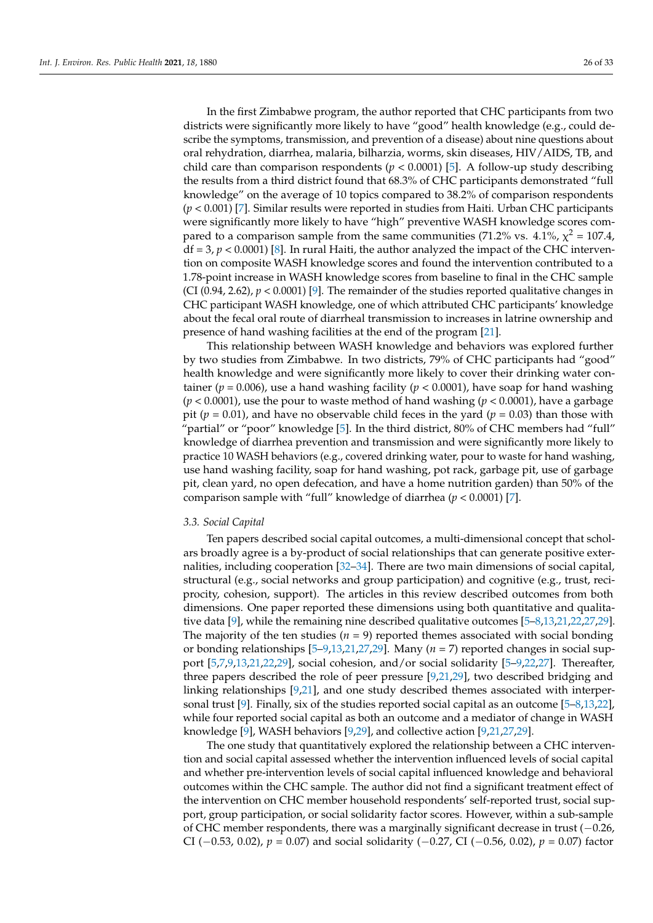In the first Zimbabwe program, the author reported that CHC participants from two districts were significantly more likely to have "good" health knowledge (e.g., could describe the symptoms, transmission, and prevention of a disease) about nine questions about oral rehydration, diarrhea, malaria, bilharzia, worms, skin diseases, HIV/AIDS, TB, and child care than comparison respondents  $(p < 0.0001)$  [\[5\]](#page-31-3). A follow-up study describing the results from a third district found that 68.3% of CHC participants demonstrated "full knowledge" on the average of 10 topics compared to 38.2% of comparison respondents (*p* < 0.001) [\[7\]](#page-31-5). Similar results were reported in studies from Haiti. Urban CHC participants were significantly more likely to have "high" preventive WASH knowledge scores compared to a comparison sample from the same communities (71.2% vs. 4.1%,  $\chi^2 = 107.4$ ,  $df = 3$ ,  $p < 0.0001$  [\[8\]](#page-31-10). In rural Haiti, the author analyzed the impact of the CHC intervention on composite WASH knowledge scores and found the intervention contributed to a 1.78-point increase in WASH knowledge scores from baseline to final in the CHC sample (CI  $(0.94, 2.62)$ ,  $p < 0.0001$ ) [\[9\]](#page-31-6). The remainder of the studies reported qualitative changes in CHC participant WASH knowledge, one of which attributed CHC participants' knowledge about the fecal oral route of diarrheal transmission to increases in latrine ownership and presence of hand washing facilities at the end of the program [\[21\]](#page-32-0).

This relationship between WASH knowledge and behaviors was explored further by two studies from Zimbabwe. In two districts, 79% of CHC participants had "good" health knowledge and were significantly more likely to cover their drinking water container ( $p = 0.006$ ), use a hand washing facility ( $p < 0.0001$ ), have soap for hand washing (*p* < 0.0001), use the pour to waste method of hand washing (*p* < 0.0001), have a garbage pit ( $p = 0.01$ ), and have no observable child feces in the yard ( $p = 0.03$ ) than those with "partial" or "poor" knowledge [\[5\]](#page-31-3). In the third district, 80% of CHC members had "full" knowledge of diarrhea prevention and transmission and were significantly more likely to practice 10 WASH behaviors (e.g., covered drinking water, pour to waste for hand washing, use hand washing facility, soap for hand washing, pot rack, garbage pit, use of garbage pit, clean yard, no open defecation, and have a home nutrition garden) than 50% of the comparison sample with "full" knowledge of diarrhea (*p* < 0.0001) [\[7\]](#page-31-5).

#### *3.3. Social Capital*

Ten papers described social capital outcomes, a multi-dimensional concept that scholars broadly agree is a by-product of social relationships that can generate positive externalities, including cooperation [\[32–](#page-32-11)[34\]](#page-32-12). There are two main dimensions of social capital, structural (e.g., social networks and group participation) and cognitive (e.g., trust, reciprocity, cohesion, support). The articles in this review described outcomes from both dimensions. One paper reported these dimensions using both quantitative and qualitative data [\[9\]](#page-31-6), while the remaining nine described qualitative outcomes [\[5](#page-31-3)[–8,](#page-31-10)[13,](#page-31-11)[21](#page-32-0)[,22](#page-32-5)[,27](#page-32-2)[,29\]](#page-32-10). The majority of the ten studies  $(n = 9)$  reported themes associated with social bonding or bonding relationships [\[5](#page-31-3)[–9,](#page-31-6)[13,](#page-31-11)[21,](#page-32-0)[27,](#page-32-2)[29\]](#page-32-10). Many (*n* = 7) reported changes in social support [\[5,](#page-31-3)[7,](#page-31-5)[9,](#page-31-6)[13,](#page-31-11)[21,](#page-32-0)[22,](#page-32-5)[29\]](#page-32-10), social cohesion, and/or social solidarity [\[5–](#page-31-3)[9](#page-31-6)[,22](#page-32-5)[,27\]](#page-32-2). Thereafter, three papers described the role of peer pressure [\[9,](#page-31-6)[21,](#page-32-0)[29\]](#page-32-10), two described bridging and linking relationships [\[9](#page-31-6)[,21\]](#page-32-0), and one study described themes associated with interpersonal trust [\[9\]](#page-31-6). Finally, six of the studies reported social capital as an outcome [\[5–](#page-31-3)[8,](#page-31-10)[13,](#page-31-11)[22\]](#page-32-5), while four reported social capital as both an outcome and a mediator of change in WASH knowledge [\[9\]](#page-31-6), WASH behaviors [\[9](#page-31-6)[,29\]](#page-32-10), and collective action [\[9](#page-31-6)[,21](#page-32-0)[,27](#page-32-2)[,29\]](#page-32-10).

The one study that quantitatively explored the relationship between a CHC intervention and social capital assessed whether the intervention influenced levels of social capital and whether pre-intervention levels of social capital influenced knowledge and behavioral outcomes within the CHC sample. The author did not find a significant treatment effect of the intervention on CHC member household respondents' self-reported trust, social support, group participation, or social solidarity factor scores. However, within a sub-sample of CHC member respondents, there was a marginally significant decrease in trust (−0.26, CI (−0.53, 0.02), *p* = 0.07) and social solidarity (−0.27, CI (−0.56, 0.02), *p* = 0.07) factor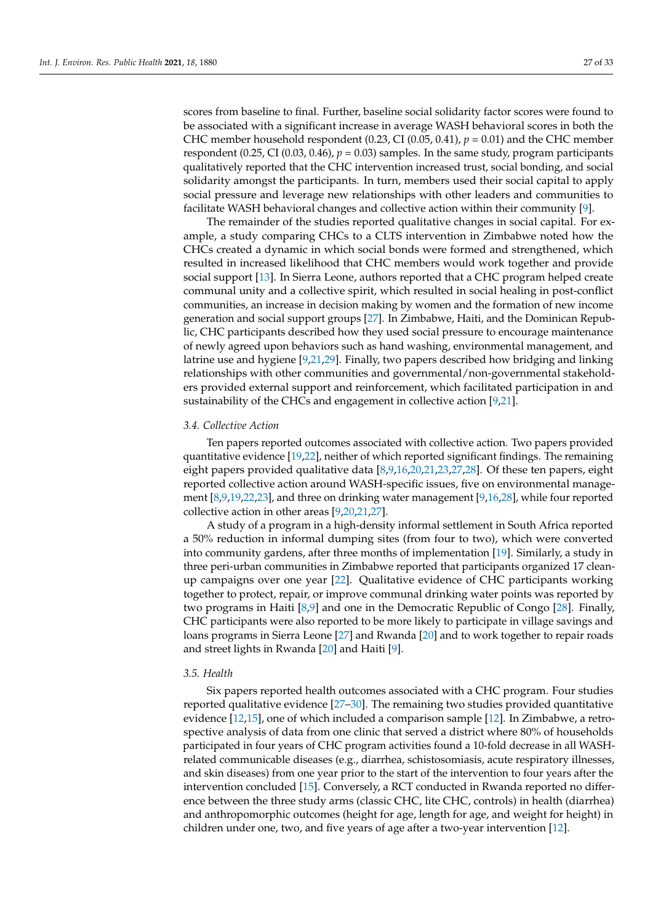scores from baseline to final. Further, baseline social solidarity factor scores were found to be associated with a significant increase in average WASH behavioral scores in both the CHC member household respondent (0.23, CI (0.05, 0.41),  $p = 0.01$ ) and the CHC member respondent (0.25, CI (0.03, 0.46),  $p = 0.03$ ) samples. In the same study, program participants qualitatively reported that the CHC intervention increased trust, social bonding, and social solidarity amongst the participants. In turn, members used their social capital to apply social pressure and leverage new relationships with other leaders and communities to facilitate WASH behavioral changes and collective action within their community [\[9\]](#page-31-6).

The remainder of the studies reported qualitative changes in social capital. For example, a study comparing CHCs to a CLTS intervention in Zimbabwe noted how the CHCs created a dynamic in which social bonds were formed and strengthened, which resulted in increased likelihood that CHC members would work together and provide social support [\[13\]](#page-31-11). In Sierra Leone, authors reported that a CHC program helped create communal unity and a collective spirit, which resulted in social healing in post-conflict communities, an increase in decision making by women and the formation of new income generation and social support groups [\[27\]](#page-32-2). In Zimbabwe, Haiti, and the Dominican Republic, CHC participants described how they used social pressure to encourage maintenance of newly agreed upon behaviors such as hand washing, environmental management, and latrine use and hygiene [\[9](#page-31-6)[,21](#page-32-0)[,29\]](#page-32-10). Finally, two papers described how bridging and linking relationships with other communities and governmental/non-governmental stakeholders provided external support and reinforcement, which facilitated participation in and sustainability of the CHCs and engagement in collective action  $[9,21]$  $[9,21]$ .

#### *3.4. Collective Action*

Ten papers reported outcomes associated with collective action. Two papers provided quantitative evidence [\[19](#page-31-18)[,22\]](#page-32-5), neither of which reported significant findings. The remaining eight papers provided qualitative data [\[8,](#page-31-10)[9,](#page-31-6)[16,](#page-31-14)[20,](#page-31-13)[21,](#page-32-0)[23,](#page-32-9)[27,](#page-32-2)[28\]](#page-32-7). Of these ten papers, eight reported collective action around WASH-specific issues, five on environmental management [\[8](#page-31-10)[,9](#page-31-6)[,19,](#page-31-18)[22,](#page-32-5)[23\]](#page-32-9), and three on drinking water management [\[9](#page-31-6)[,16,](#page-31-14)[28\]](#page-32-7), while four reported collective action in other areas [\[9](#page-31-6)[,20](#page-31-13)[,21,](#page-32-0)[27\]](#page-32-2).

A study of a program in a high-density informal settlement in South Africa reported a 50% reduction in informal dumping sites (from four to two), which were converted into community gardens, after three months of implementation [\[19\]](#page-31-18). Similarly, a study in three peri-urban communities in Zimbabwe reported that participants organized 17 cleanup campaigns over one year [\[22\]](#page-32-5). Qualitative evidence of CHC participants working together to protect, repair, or improve communal drinking water points was reported by two programs in Haiti [\[8](#page-31-10)[,9\]](#page-31-6) and one in the Democratic Republic of Congo [\[28\]](#page-32-7). Finally, CHC participants were also reported to be more likely to participate in village savings and loans programs in Sierra Leone [\[27\]](#page-32-2) and Rwanda [\[20\]](#page-31-13) and to work together to repair roads and street lights in Rwanda [\[20\]](#page-31-13) and Haiti [\[9\]](#page-31-6).

#### *3.5. Health*

Six papers reported health outcomes associated with a CHC program. Four studies reported qualitative evidence [\[27–](#page-32-2)[30\]](#page-32-3). The remaining two studies provided quantitative evidence [\[12,](#page-31-9)[15\]](#page-31-17), one of which included a comparison sample [\[12\]](#page-31-9). In Zimbabwe, a retrospective analysis of data from one clinic that served a district where 80% of households participated in four years of CHC program activities found a 10-fold decrease in all WASHrelated communicable diseases (e.g., diarrhea, schistosomiasis, acute respiratory illnesses, and skin diseases) from one year prior to the start of the intervention to four years after the intervention concluded [\[15\]](#page-31-17). Conversely, a RCT conducted in Rwanda reported no difference between the three study arms (classic CHC, lite CHC, controls) in health (diarrhea) and anthropomorphic outcomes (height for age, length for age, and weight for height) in children under one, two, and five years of age after a two-year intervention [\[12\]](#page-31-9).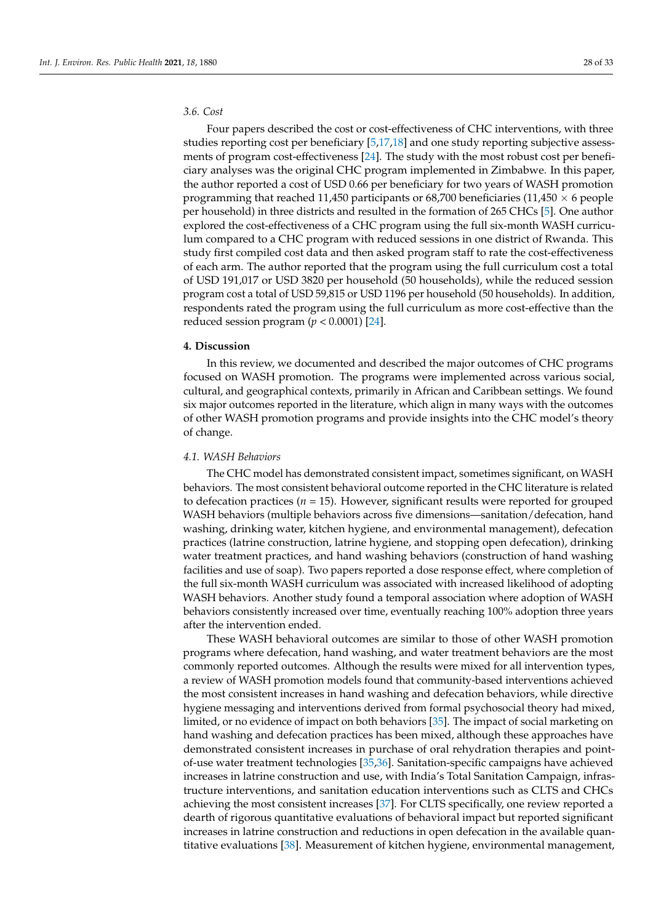# *3.6. Cost*

Four papers described the cost or cost-effectiveness of CHC interventions, with three studies reporting cost per beneficiary [\[5](#page-31-3)[,17](#page-31-15)[,18\]](#page-31-16) and one study reporting subjective assessments of program cost-effectiveness [\[24\]](#page-32-8). The study with the most robust cost per beneficiary analyses was the original CHC program implemented in Zimbabwe. In this paper, the author reported a cost of USD 0.66 per beneficiary for two years of WASH promotion programming that reached 11,450 participants or 68,700 beneficiaries (11,450  $\times$  6 people per household) in three districts and resulted in the formation of 265 CHCs [\[5\]](#page-31-3). One author explored the cost-effectiveness of a CHC program using the full six-month WASH curriculum compared to a CHC program with reduced sessions in one district of Rwanda. This study first compiled cost data and then asked program staff to rate the cost-effectiveness of each arm. The author reported that the program using the full curriculum cost a total of USD 191,017 or USD 3820 per household (50 households), while the reduced session program cost a total of USD 59,815 or USD 1196 per household (50 households). In addition, respondents rated the program using the full curriculum as more cost-effective than the reduced session program  $(p < 0.0001)$  [\[24\]](#page-32-8).

#### **4. Discussion**

In this review, we documented and described the major outcomes of CHC programs focused on WASH promotion. The programs were implemented across various social, cultural, and geographical contexts, primarily in African and Caribbean settings. We found six major outcomes reported in the literature, which align in many ways with the outcomes of other WASH promotion programs and provide insights into the CHC model's theory of change.

#### *4.1. WASH Behaviors*

The CHC model has demonstrated consistent impact, sometimes significant, on WASH behaviors. The most consistent behavioral outcome reported in the CHC literature is related to defecation practices  $(n = 15)$ . However, significant results were reported for grouped WASH behaviors (multiple behaviors across five dimensions—sanitation/defecation, hand washing, drinking water, kitchen hygiene, and environmental management), defecation practices (latrine construction, latrine hygiene, and stopping open defecation), drinking water treatment practices, and hand washing behaviors (construction of hand washing facilities and use of soap). Two papers reported a dose response effect, where completion of the full six-month WASH curriculum was associated with increased likelihood of adopting WASH behaviors. Another study found a temporal association where adoption of WASH behaviors consistently increased over time, eventually reaching 100% adoption three years after the intervention ended.

These WASH behavioral outcomes are similar to those of other WASH promotion programs where defecation, hand washing, and water treatment behaviors are the most commonly reported outcomes. Although the results were mixed for all intervention types, a review of WASH promotion models found that community-based interventions achieved the most consistent increases in hand washing and defecation behaviors, while directive hygiene messaging and interventions derived from formal psychosocial theory had mixed, limited, or no evidence of impact on both behaviors [\[35\]](#page-32-13). The impact of social marketing on hand washing and defecation practices has been mixed, although these approaches have demonstrated consistent increases in purchase of oral rehydration therapies and pointof-use water treatment technologies [\[35,](#page-32-13)[36\]](#page-32-14). Sanitation-specific campaigns have achieved increases in latrine construction and use, with India's Total Sanitation Campaign, infrastructure interventions, and sanitation education interventions such as CLTS and CHCs achieving the most consistent increases [\[37\]](#page-32-15). For CLTS specifically, one review reported a dearth of rigorous quantitative evaluations of behavioral impact but reported significant increases in latrine construction and reductions in open defecation in the available quantitative evaluations [\[38\]](#page-32-16). Measurement of kitchen hygiene, environmental management,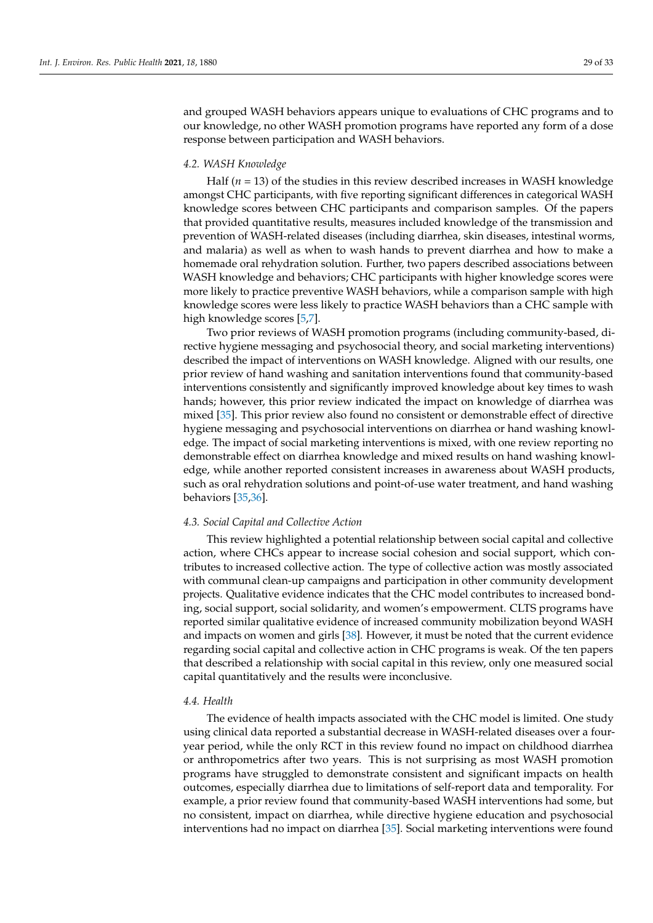and grouped WASH behaviors appears unique to evaluations of CHC programs and to our knowledge, no other WASH promotion programs have reported any form of a dose response between participation and WASH behaviors.

# *4.2. WASH Knowledge*

Half  $(n = 13)$  of the studies in this review described increases in WASH knowledge amongst CHC participants, with five reporting significant differences in categorical WASH knowledge scores between CHC participants and comparison samples. Of the papers that provided quantitative results, measures included knowledge of the transmission and prevention of WASH-related diseases (including diarrhea, skin diseases, intestinal worms, and malaria) as well as when to wash hands to prevent diarrhea and how to make a homemade oral rehydration solution. Further, two papers described associations between WASH knowledge and behaviors; CHC participants with higher knowledge scores were more likely to practice preventive WASH behaviors, while a comparison sample with high knowledge scores were less likely to practice WASH behaviors than a CHC sample with high knowledge scores [\[5,](#page-31-3)[7\]](#page-31-5).

Two prior reviews of WASH promotion programs (including community-based, directive hygiene messaging and psychosocial theory, and social marketing interventions) described the impact of interventions on WASH knowledge. Aligned with our results, one prior review of hand washing and sanitation interventions found that community-based interventions consistently and significantly improved knowledge about key times to wash hands; however, this prior review indicated the impact on knowledge of diarrhea was mixed [\[35\]](#page-32-13). This prior review also found no consistent or demonstrable effect of directive hygiene messaging and psychosocial interventions on diarrhea or hand washing knowledge. The impact of social marketing interventions is mixed, with one review reporting no demonstrable effect on diarrhea knowledge and mixed results on hand washing knowledge, while another reported consistent increases in awareness about WASH products, such as oral rehydration solutions and point-of-use water treatment, and hand washing behaviors [\[35,](#page-32-13)[36\]](#page-32-14).

# *4.3. Social Capital and Collective Action*

This review highlighted a potential relationship between social capital and collective action, where CHCs appear to increase social cohesion and social support, which contributes to increased collective action. The type of collective action was mostly associated with communal clean-up campaigns and participation in other community development projects. Qualitative evidence indicates that the CHC model contributes to increased bonding, social support, social solidarity, and women's empowerment. CLTS programs have reported similar qualitative evidence of increased community mobilization beyond WASH and impacts on women and girls [\[38\]](#page-32-16). However, it must be noted that the current evidence regarding social capital and collective action in CHC programs is weak. Of the ten papers that described a relationship with social capital in this review, only one measured social capital quantitatively and the results were inconclusive.

#### *4.4. Health*

The evidence of health impacts associated with the CHC model is limited. One study using clinical data reported a substantial decrease in WASH-related diseases over a fouryear period, while the only RCT in this review found no impact on childhood diarrhea or anthropometrics after two years. This is not surprising as most WASH promotion programs have struggled to demonstrate consistent and significant impacts on health outcomes, especially diarrhea due to limitations of self-report data and temporality. For example, a prior review found that community-based WASH interventions had some, but no consistent, impact on diarrhea, while directive hygiene education and psychosocial interventions had no impact on diarrhea [\[35\]](#page-32-13). Social marketing interventions were found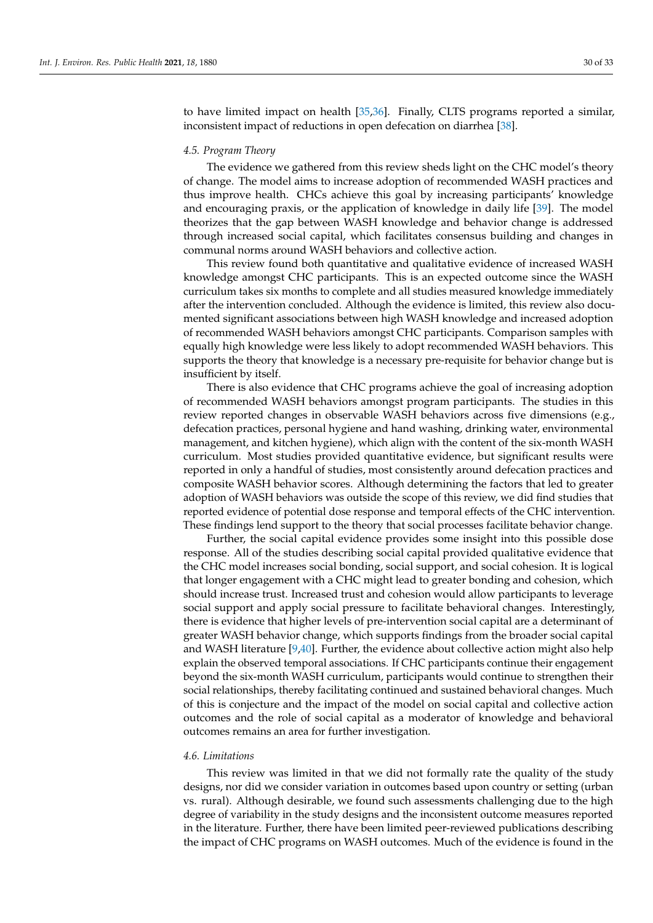to have limited impact on health [\[35](#page-32-13)[,36\]](#page-32-14). Finally, CLTS programs reported a similar, inconsistent impact of reductions in open defecation on diarrhea [\[38\]](#page-32-16).

# *4.5. Program Theory*

The evidence we gathered from this review sheds light on the CHC model's theory of change. The model aims to increase adoption of recommended WASH practices and thus improve health. CHCs achieve this goal by increasing participants' knowledge and encouraging praxis, or the application of knowledge in daily life [\[39\]](#page-32-17). The model theorizes that the gap between WASH knowledge and behavior change is addressed through increased social capital, which facilitates consensus building and changes in communal norms around WASH behaviors and collective action.

This review found both quantitative and qualitative evidence of increased WASH knowledge amongst CHC participants. This is an expected outcome since the WASH curriculum takes six months to complete and all studies measured knowledge immediately after the intervention concluded. Although the evidence is limited, this review also documented significant associations between high WASH knowledge and increased adoption of recommended WASH behaviors amongst CHC participants. Comparison samples with equally high knowledge were less likely to adopt recommended WASH behaviors. This supports the theory that knowledge is a necessary pre-requisite for behavior change but is insufficient by itself.

There is also evidence that CHC programs achieve the goal of increasing adoption of recommended WASH behaviors amongst program participants. The studies in this review reported changes in observable WASH behaviors across five dimensions (e.g., defecation practices, personal hygiene and hand washing, drinking water, environmental management, and kitchen hygiene), which align with the content of the six-month WASH curriculum. Most studies provided quantitative evidence, but significant results were reported in only a handful of studies, most consistently around defecation practices and composite WASH behavior scores. Although determining the factors that led to greater adoption of WASH behaviors was outside the scope of this review, we did find studies that reported evidence of potential dose response and temporal effects of the CHC intervention. These findings lend support to the theory that social processes facilitate behavior change.

Further, the social capital evidence provides some insight into this possible dose response. All of the studies describing social capital provided qualitative evidence that the CHC model increases social bonding, social support, and social cohesion. It is logical that longer engagement with a CHC might lead to greater bonding and cohesion, which should increase trust. Increased trust and cohesion would allow participants to leverage social support and apply social pressure to facilitate behavioral changes. Interestingly, there is evidence that higher levels of pre-intervention social capital are a determinant of greater WASH behavior change, which supports findings from the broader social capital and WASH literature [\[9,](#page-31-6)[40\]](#page-32-18). Further, the evidence about collective action might also help explain the observed temporal associations. If CHC participants continue their engagement beyond the six-month WASH curriculum, participants would continue to strengthen their social relationships, thereby facilitating continued and sustained behavioral changes. Much of this is conjecture and the impact of the model on social capital and collective action outcomes and the role of social capital as a moderator of knowledge and behavioral outcomes remains an area for further investigation.

#### *4.6. Limitations*

This review was limited in that we did not formally rate the quality of the study designs, nor did we consider variation in outcomes based upon country or setting (urban vs. rural). Although desirable, we found such assessments challenging due to the high degree of variability in the study designs and the inconsistent outcome measures reported in the literature. Further, there have been limited peer-reviewed publications describing the impact of CHC programs on WASH outcomes. Much of the evidence is found in the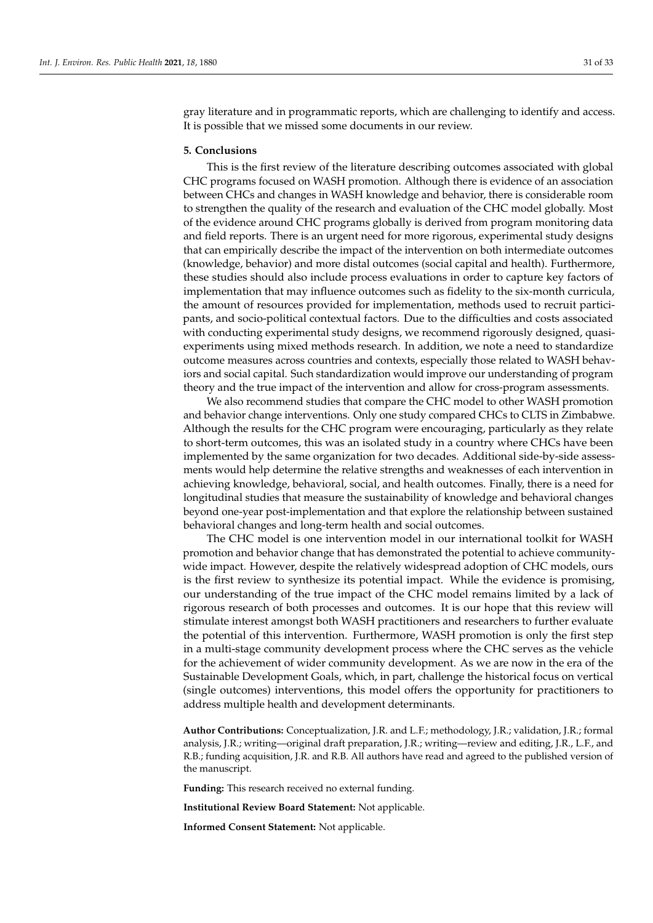gray literature and in programmatic reports, which are challenging to identify and access. It is possible that we missed some documents in our review.

# **5. Conclusions**

This is the first review of the literature describing outcomes associated with global CHC programs focused on WASH promotion. Although there is evidence of an association between CHCs and changes in WASH knowledge and behavior, there is considerable room to strengthen the quality of the research and evaluation of the CHC model globally. Most of the evidence around CHC programs globally is derived from program monitoring data and field reports. There is an urgent need for more rigorous, experimental study designs that can empirically describe the impact of the intervention on both intermediate outcomes (knowledge, behavior) and more distal outcomes (social capital and health). Furthermore, these studies should also include process evaluations in order to capture key factors of implementation that may influence outcomes such as fidelity to the six-month curricula, the amount of resources provided for implementation, methods used to recruit participants, and socio-political contextual factors. Due to the difficulties and costs associated with conducting experimental study designs, we recommend rigorously designed, quasiexperiments using mixed methods research. In addition, we note a need to standardize outcome measures across countries and contexts, especially those related to WASH behaviors and social capital. Such standardization would improve our understanding of program theory and the true impact of the intervention and allow for cross-program assessments.

We also recommend studies that compare the CHC model to other WASH promotion and behavior change interventions. Only one study compared CHCs to CLTS in Zimbabwe. Although the results for the CHC program were encouraging, particularly as they relate to short-term outcomes, this was an isolated study in a country where CHCs have been implemented by the same organization for two decades. Additional side-by-side assessments would help determine the relative strengths and weaknesses of each intervention in achieving knowledge, behavioral, social, and health outcomes. Finally, there is a need for longitudinal studies that measure the sustainability of knowledge and behavioral changes beyond one-year post-implementation and that explore the relationship between sustained behavioral changes and long-term health and social outcomes.

The CHC model is one intervention model in our international toolkit for WASH promotion and behavior change that has demonstrated the potential to achieve communitywide impact. However, despite the relatively widespread adoption of CHC models, ours is the first review to synthesize its potential impact. While the evidence is promising, our understanding of the true impact of the CHC model remains limited by a lack of rigorous research of both processes and outcomes. It is our hope that this review will stimulate interest amongst both WASH practitioners and researchers to further evaluate the potential of this intervention. Furthermore, WASH promotion is only the first step in a multi-stage community development process where the CHC serves as the vehicle for the achievement of wider community development. As we are now in the era of the Sustainable Development Goals, which, in part, challenge the historical focus on vertical (single outcomes) interventions, this model offers the opportunity for practitioners to address multiple health and development determinants.

**Author Contributions:** Conceptualization, J.R. and L.F.; methodology, J.R.; validation, J.R.; formal analysis, J.R.; writing—original draft preparation, J.R.; writing—review and editing, J.R., L.F., and R.B.; funding acquisition, J.R. and R.B. All authors have read and agreed to the published version of the manuscript.

**Funding:** This research received no external funding.

**Institutional Review Board Statement:** Not applicable.

**Informed Consent Statement:** Not applicable.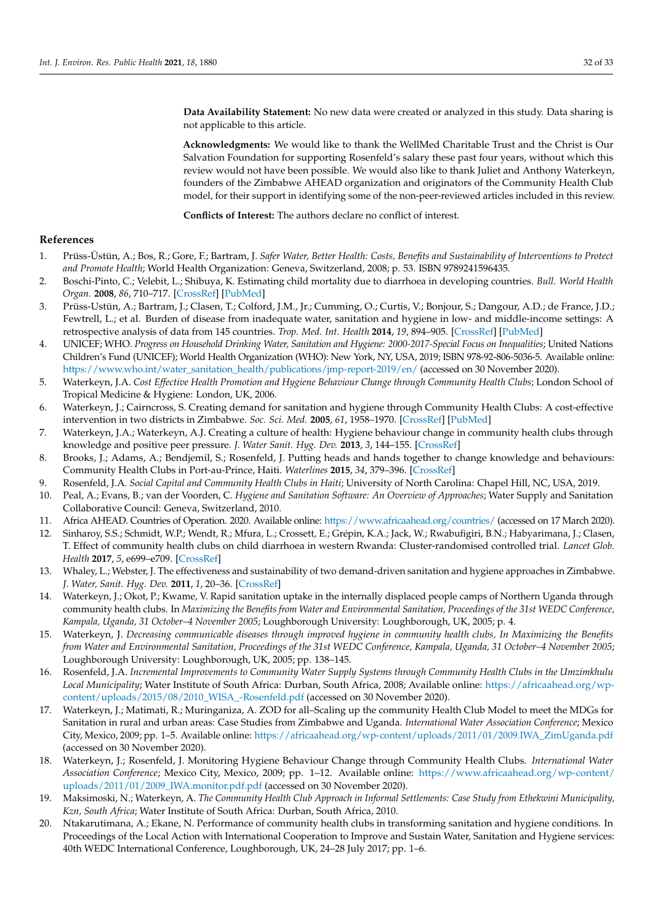**Data Availability Statement:** No new data were created or analyzed in this study. Data sharing is not applicable to this article.

**Acknowledgments:** We would like to thank the WellMed Charitable Trust and the Christ is Our Salvation Foundation for supporting Rosenfeld's salary these past four years, without which this review would not have been possible. We would also like to thank Juliet and Anthony Waterkeyn, founders of the Zimbabwe AHEAD organization and originators of the Community Health Club model, for their support in identifying some of the non-peer-reviewed articles included in this review.

**Conflicts of Interest:** The authors declare no conflict of interest.

## **References**

- <span id="page-31-0"></span>1. Prüss-Üstün, A.; Bos, R.; Gore, F.; Bartram, J. *Safer Water, Better Health: Costs, Benefits and Sustainability of Interventions to Protect and Promote Health*; World Health Organization: Geneva, Switzerland, 2008; p. 53. ISBN 9789241596435.
- 2. Boschi-Pinto, C.; Velebit, L.; Shibuya, K. Estimating child mortality due to diarrhoea in developing countries. *Bull. World Health Organ.* **2008**, *86*, 710–717. [\[CrossRef\]](http://doi.org/10.2471/BLT.07.050054) [\[PubMed\]](http://www.ncbi.nlm.nih.gov/pubmed/18797647)
- <span id="page-31-1"></span>3. Prüss-Ustün, A.; Bartram, J.; Clasen, T.; Colford, J.M., Jr.; Cumming, O.; Curtis, V.; Bonjour, S.; Dangour, A.D.; de France, J.D.; Fewtrell, L.; et al. Burden of disease from inadequate water, sanitation and hygiene in low- and middle-income settings: A retrospective analysis of data from 145 countries. *Trop. Med. Int. Health* **2014**, *19*, 894–905. [\[CrossRef\]](http://doi.org/10.1111/tmi.12329) [\[PubMed\]](http://www.ncbi.nlm.nih.gov/pubmed/24779548)
- <span id="page-31-2"></span>4. UNICEF; WHO. *Progress on Household Drinking Water, Sanitation and Hygiene: 2000-2017-Special Focus on Inequalities*; United Nations Children's Fund (UNICEF); World Health Organization (WHO): New York, NY, USA, 2019; ISBN 978-92-806-5036-5. Available online: [https://www.who.int/water\\_sanitation\\_health/publications/jmp-report-2019/en/](https://www.who.int/water_sanitation_health/publications/jmp-report-2019/en/) (accessed on 30 November 2020).
- <span id="page-31-3"></span>5. Waterkeyn, J.A. Cost Effective Health Promotion and Hygiene Behaviour Change through Community Health Clubs; London School of Tropical Medicine & Hygiene: London, UK, 2006.
- <span id="page-31-4"></span>6. Waterkeyn, J.; Cairncross, S. Creating demand for sanitation and hygiene through Community Health Clubs: A cost-effective intervention in two districts in Zimbabwe. *Soc. Sci. Med.* **2005**, *61*, 1958–1970. [\[CrossRef\]](http://doi.org/10.1016/j.socscimed.2005.04.012) [\[PubMed\]](http://www.ncbi.nlm.nih.gov/pubmed/15927329)
- <span id="page-31-5"></span>7. Waterkeyn, J.A.; Waterkeyn, A.J. Creating a culture of health: Hygiene behaviour change in community health clubs through knowledge and positive peer pressure. *J. Water Sanit. Hyg. Dev.* **2013**, *3*, 144–155. [\[CrossRef\]](http://doi.org/10.2166/washdev.2013.109)
- <span id="page-31-10"></span>8. Brooks, J.; Adams, A.; Bendjemil, S.; Rosenfeld, J. Putting heads and hands together to change knowledge and behaviours: Community Health Clubs in Port-au-Prince, Haiti. *Waterlines* **2015**, *34*, 379–396. [\[CrossRef\]](http://doi.org/10.3362/1756-3488.2015.033)
- <span id="page-31-6"></span>9. Rosenfeld, J.A. *Social Capital and Community Health Clubs in Haiti*; University of North Carolina: Chapel Hill, NC, USA, 2019.
- <span id="page-31-7"></span>10. Peal, A.; Evans, B.; van der Voorden, C. *Hygiene and Sanitation Software: An Overview of Approaches*; Water Supply and Sanitation Collaborative Council: Geneva, Switzerland, 2010.
- <span id="page-31-8"></span>11. Africa AHEAD. Countries of Operation. 2020. Available online: <https://www.africaahead.org/countries/> (accessed on 17 March 2020).
- <span id="page-31-9"></span>12. Sinharoy, S.S.; Schmidt, W.P.; Wendt, R.; Mfura, L.; Crossett, E.; Grépin, K.A.; Jack, W.; Rwabufigiri, B.N.; Habyarimana, J.; Clasen, T. Effect of community health clubs on child diarrhoea in western Rwanda: Cluster-randomised controlled trial. *Lancet Glob. Health* **2017**, *5*, e699–e709. [\[CrossRef\]](http://doi.org/10.1016/S2214-109X(17)30217-6)
- <span id="page-31-11"></span>13. Whaley, L.; Webster, J. The effectiveness and sustainability of two demand-driven sanitation and hygiene approaches in Zimbabwe. *J. Water, Sanit. Hyg. Dev.* **2011**, *1*, 20–36. [\[CrossRef\]](http://doi.org/10.2166/washdev.2011.015)
- <span id="page-31-12"></span>14. Waterkeyn, J.; Okot, P.; Kwame, V. Rapid sanitation uptake in the internally displaced people camps of Northern Uganda through community health clubs. In *Maximizing the Benefits from Water and Environmental Sanitation, Proceedings of the 31st WEDC Conference, Kampala, Uganda, 31 October–4 November 2005*; Loughborough University: Loughborough, UK, 2005; p. 4.
- <span id="page-31-17"></span>15. Waterkeyn, J. *Decreasing communicable diseases through improved hygiene in community health clubs, In Maximizing the Benefits from Water and Environmental Sanitation, Proceedings of the 31st WEDC Conference, Kampala, Uganda, 31 October–4 November 2005*; Loughborough University: Loughborough, UK, 2005; pp. 138–145.
- <span id="page-31-14"></span>16. Rosenfeld, J.A. *Incremental Improvements to Community Water Supply Systems through Community Health Clubs in the Umzimkhulu Local Municipality*; Water Institute of South Africa: Durban, South Africa, 2008; Available online: [https://africaahead.org/wp](https://africaahead.org/wp-content/uploads/2015/08/2010_WISA_-Rosenfeld.pdf)[content/uploads/2015/08/2010\\_WISA\\_-Rosenfeld.pdf](https://africaahead.org/wp-content/uploads/2015/08/2010_WISA_-Rosenfeld.pdf) (accessed on 30 November 2020).
- <span id="page-31-15"></span>17. Waterkeyn, J.; Matimati, R.; Muringaniza, A. ZOD for all–Scaling up the community Health Club Model to meet the MDGs for Sanitation in rural and urban areas: Case Studies from Zimbabwe and Uganda. *International Water Association Conference*; Mexico City, Mexico, 2009; pp. 1–5. Available online: [https://africaahead.org/wp-content/uploads/2011/01/2009.IWA\\_ZimUganda.pdf](https://africaahead.org/wp-content/uploads/2011/01/2009.IWA_ZimUganda.pdf) (accessed on 30 November 2020).
- <span id="page-31-16"></span>18. Waterkeyn, J.; Rosenfeld, J. Monitoring Hygiene Behaviour Change through Community Health Clubs. *International Water Association Conference*; Mexico City, Mexico, 2009; pp. 1–12. Available online: [https://www.africaahead.org/wp-content/](https://www.africaahead.org/wp-content/uploads/2011/01/2009_IWA.monitor.pdf.pdf) [uploads/2011/01/2009\\_IWA.monitor.pdf.pdf](https://www.africaahead.org/wp-content/uploads/2011/01/2009_IWA.monitor.pdf.pdf) (accessed on 30 November 2020).
- <span id="page-31-18"></span>19. Maksimoski, N.; Waterkeyn, A. *The Community Health Club Approach in Informal Settlements: Case Study from Ethekwini Municipality, Kzn, South Africa*; Water Institute of South Africa: Durban, South Africa, 2010.
- <span id="page-31-13"></span>20. Ntakarutimana, A.; Ekane, N. Performance of community health clubs in transforming sanitation and hygiene conditions. In Proceedings of the Local Action with International Cooperation to Improve and Sustain Water, Sanitation and Hygiene services: 40th WEDC International Conference, Loughborough, UK, 24–28 July 2017; pp. 1–6.